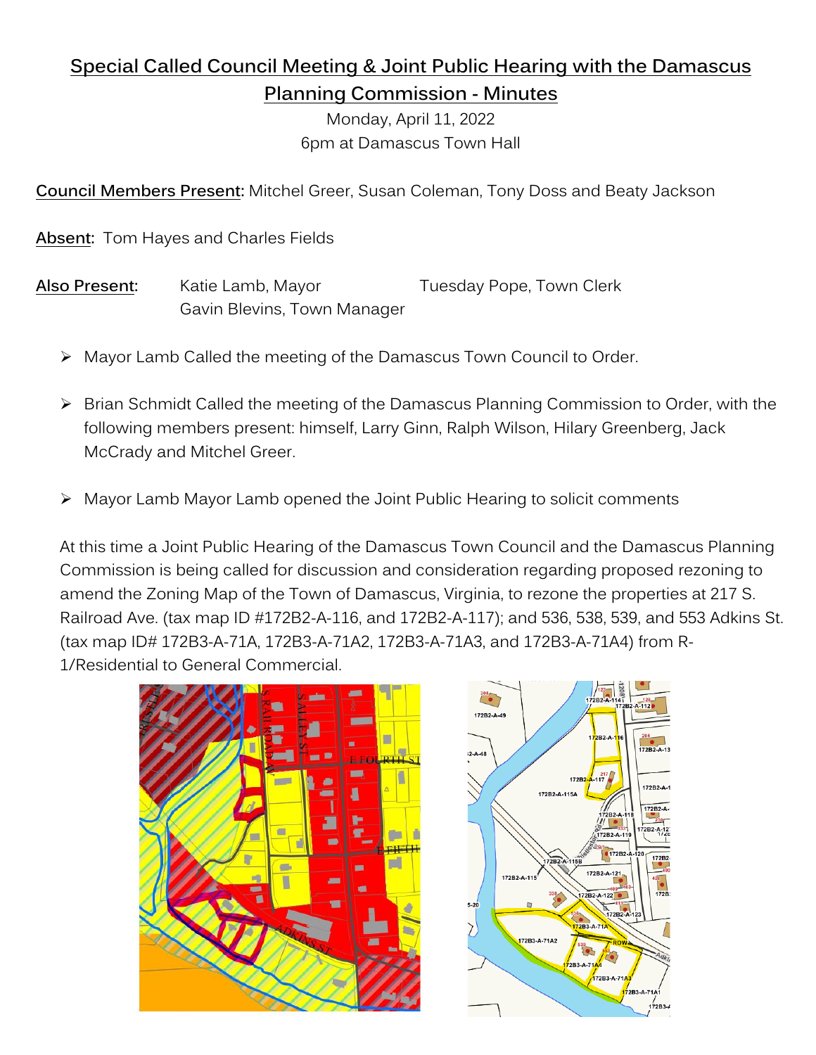# **Special Called Council Meeting & Joint Public Hearing with the Damascus Planning Commission - Minutes**

Monday, April 11, 2022 6pm at Damascus Town Hall

**Council Members Present:** Mitchel Greer, Susan Coleman, Tony Doss and Beaty Jackson

**Absent:** Tom Hayes and Charles Fields

Also Present: Katie Lamb, Mayor Tuesday Pope, Town Clerk Gavin Blevins, Town Manager

- ➢ Mayor Lamb Called the meeting of the Damascus Town Council to Order.
- ➢ Brian Schmidt Called the meeting of the Damascus Planning Commission to Order, with the following members present: himself, Larry Ginn, Ralph Wilson, Hilary Greenberg, Jack McCrady and Mitchel Greer.
- Mayor Lamb Mayor Lamb opened the Joint Public Hearing to solicit comments

At this time a Joint Public Hearing of the Damascus Town Council and the Damascus Planning Commission is being called for discussion and consideration regarding proposed rezoning to amend the Zoning Map of the Town of Damascus, Virginia, to rezone the properties at 217 S. Railroad Ave. (tax map ID #172B2-A-116, and 172B2-A-117); and 536, 538, 539, and 553 Adkins St. (tax map ID# 172B3-A-71A, 172B3-A-71A2, 172B3-A-71A3, and 172B3-A-71A4) from R-1/Residential to General Commercial.



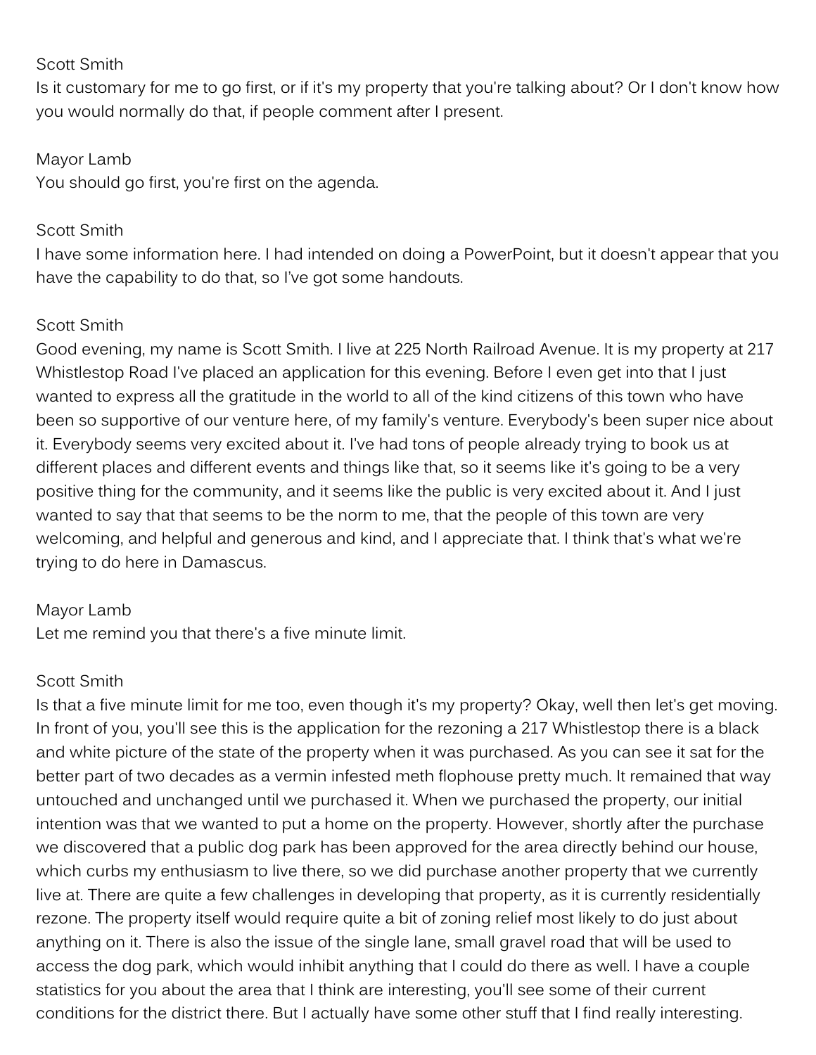#### Scott Smith

Is it customary for me to go first, or if it's my property that you're talking about? Or I don't know how you would normally do that, if people comment after I present.

#### Mayor Lamb

You should go first, you're first on the agenda.

#### Scott Smith

I have some information here. I had intended on doing a PowerPoint, but it doesn't appear that you have the capability to do that, so I've got some handouts.

### Scott Smith

Good evening, my name is Scott Smith. I live at 225 North Railroad Avenue. It is my property at 217 Whistlestop Road I've placed an application for this evening. Before I even get into that I just wanted to express all the gratitude in the world to all of the kind citizens of this town who have been so supportive of our venture here, of my family's venture. Everybody's been super nice about it. Everybody seems very excited about it. I've had tons of people already trying to book us at different places and different events and things like that, so it seems like it's going to be a very positive thing for the community, and it seems like the public is very excited about it. And I just wanted to say that that seems to be the norm to me, that the people of this town are very welcoming, and helpful and generous and kind, and I appreciate that. I think that's what we're trying to do here in Damascus.

### Mayor Lamb

Let me remind you that there's a five minute limit.

### Scott Smith

Is that a five minute limit for me too, even though it's my property? Okay, well then let's get moving. In front of you, you'll see this is the application for the rezoning a 217 Whistlestop there is a black and white picture of the state of the property when it was purchased. As you can see it sat for the better part of two decades as a vermin infested meth flophouse pretty much. It remained that way untouched and unchanged until we purchased it. When we purchased the property, our initial intention was that we wanted to put a home on the property. However, shortly after the purchase we discovered that a public dog park has been approved for the area directly behind our house, which curbs my enthusiasm to live there, so we did purchase another property that we currently live at. There are quite a few challenges in developing that property, as it is currently residentially rezone. The property itself would require quite a bit of zoning relief most likely to do just about anything on it. There is also the issue of the single lane, small gravel road that will be used to access the dog park, which would inhibit anything that I could do there as well. I have a couple statistics for you about the area that I think are interesting, you'll see some of their current conditions for the district there. But I actually have some other stuff that I find really interesting.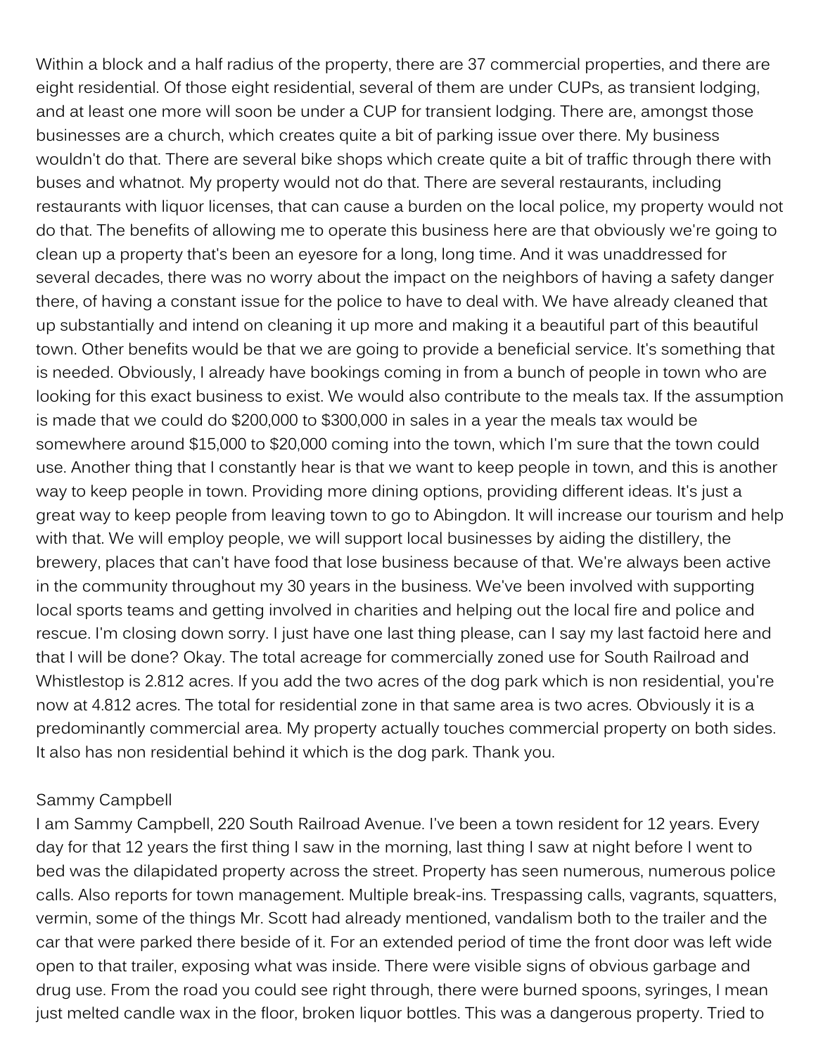Within a block and a half radius of the property, there are 37 commercial properties, and there are eight residential. Of those eight residential, several of them are under CUPs, as transient lodging, and at least one more will soon be under a CUP for transient lodging. There are, amongst those businesses are a church, which creates quite a bit of parking issue over there. My business wouldn't do that. There are several bike shops which create quite a bit of traffic through there with buses and whatnot. My property would not do that. There are several restaurants, including restaurants with liquor licenses, that can cause a burden on the local police, my property would not do that. The benefits of allowing me to operate this business here are that obviously we're going to clean up a property that's been an eyesore for a long, long time. And it was unaddressed for several decades, there was no worry about the impact on the neighbors of having a safety danger there, of having a constant issue for the police to have to deal with. We have already cleaned that up substantially and intend on cleaning it up more and making it a beautiful part of this beautiful town. Other benefits would be that we are going to provide a beneficial service. It's something that is needed. Obviously, I already have bookings coming in from a bunch of people in town who are looking for this exact business to exist. We would also contribute to the meals tax. If the assumption is made that we could do \$200,000 to \$300,000 in sales in a year the meals tax would be somewhere around \$15,000 to \$20,000 coming into the town, which I'm sure that the town could use. Another thing that I constantly hear is that we want to keep people in town, and this is another way to keep people in town. Providing more dining options, providing different ideas. It's just a great way to keep people from leaving town to go to Abingdon. It will increase our tourism and help with that. We will employ people, we will support local businesses by aiding the distillery, the brewery, places that can't have food that lose business because of that. We're always been active in the community throughout my 30 years in the business. We've been involved with supporting local sports teams and getting involved in charities and helping out the local fire and police and rescue. I'm closing down sorry. I just have one last thing please, can I say my last factoid here and that I will be done? Okay. The total acreage for commercially zoned use for South Railroad and Whistlestop is 2.812 acres. If you add the two acres of the dog park which is non residential, you're now at 4.812 acres. The total for residential zone in that same area is two acres. Obviously it is a predominantly commercial area. My property actually touches commercial property on both sides. It also has non residential behind it which is the dog park. Thank you.

#### Sammy Campbell

I am Sammy Campbell, 220 South Railroad Avenue. I've been a town resident for 12 years. Every day for that 12 years the first thing I saw in the morning, last thing I saw at night before I went to bed was the dilapidated property across the street. Property has seen numerous, numerous police calls. Also reports for town management. Multiple break-ins. Trespassing calls, vagrants, squatters, vermin, some of the things Mr. Scott had already mentioned, vandalism both to the trailer and the car that were parked there beside of it. For an extended period of time the front door was left wide open to that trailer, exposing what was inside. There were visible signs of obvious garbage and drug use. From the road you could see right through, there were burned spoons, syringes, I mean just melted candle wax in the floor, broken liquor bottles. This was a dangerous property. Tried to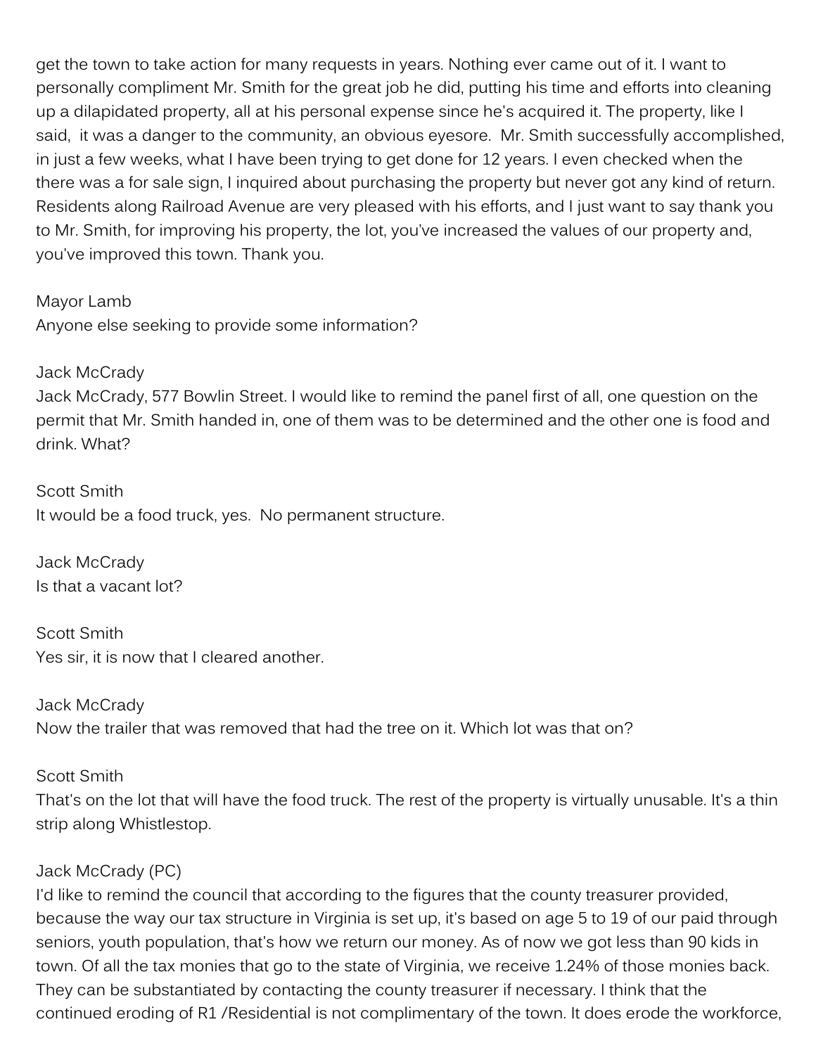get the town to take action for many requests in years. Nothing ever came out of it. I want to personally compliment Mr. Smith for the great job he did, putting his time and efforts into cleaning up a dilapidated property, all at his personal expense since he's acquired it. The property, like I said, it was a danger to the community, an obvious eyesore. Mr. Smith successfully accomplished, in just a few weeks, what I have been trying to get done for 12 years. I even checked when the there was a for sale sign, I inquired about purchasing the property but never got any kind of return. Residents along Railroad Avenue are very pleased with his efforts, and I just want to say thank you to Mr. Smith, for improving his property, the lot, you've increased the values of our property and, you've improved this town. Thank you.

Mayor Lamb

Anyone else seeking to provide some information?

Jack McCrady

Jack McCrady, 577 Bowlin Street. I would like to remind the panel first of all, one question on the permit that Mr. Smith handed in, one of them was to be determined and the other one is food and drink. What?

Scott Smith It would be a food truck, yes. No permanent structure.

Jack McCrady Is that a vacant lot?

Scott Smith Yes sir, it is now that I cleared another.

Jack McCrady Now the trailer that was removed that had the tree on it. Which lot was that on?

Scott Smith

That's on the lot that will have the food truck. The rest of the property is virtually unusable. It's a thin strip along Whistlestop.

### Jack McCrady (PC)

I'd like to remind the council that according to the figures that the county treasurer provided, because the way our tax structure in Virginia is set up, it's based on age 5 to 19 of our paid through seniors, youth population, that's how we return our money. As of now we got less than 90 kids in town. Of all the tax monies that go to the state of Virginia, we receive 1.24% of those monies back. They can be substantiated by contacting the county treasurer if necessary. I think that the continued eroding of R1 /Residential is not complimentary of the town. It does erode the workforce,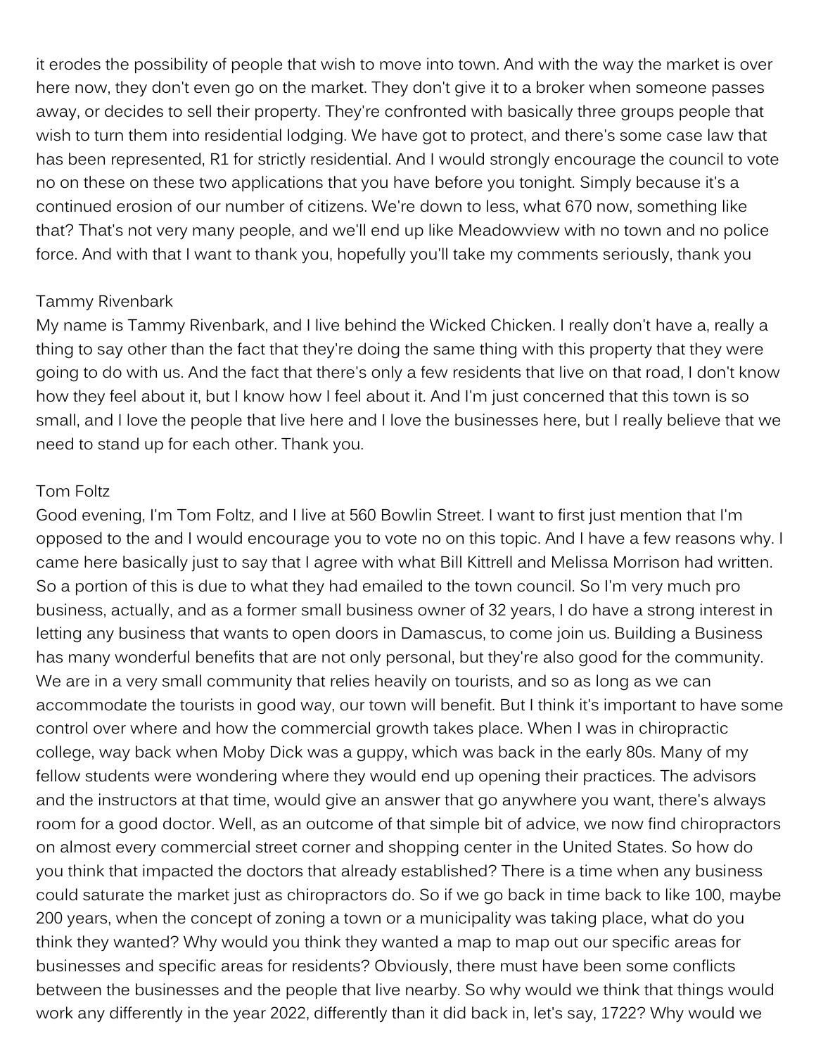it erodes the possibility of people that wish to move into town. And with the way the market is over here now, they don't even go on the market. They don't give it to a broker when someone passes away, or decides to sell their property. They're confronted with basically three groups people that wish to turn them into residential lodging. We have got to protect, and there's some case law that has been represented, R1 for strictly residential. And I would strongly encourage the council to vote no on these on these two applications that you have before you tonight. Simply because it's a continued erosion of our number of citizens. We're down to less, what 670 now, something like that? That's not very many people, and we'll end up like Meadowview with no town and no police force. And with that I want to thank you, hopefully you'll take my comments seriously, thank you

#### Tammy Rivenbark

My name is Tammy Rivenbark, and I live behind the Wicked Chicken. I really don't have a, really a thing to say other than the fact that they're doing the same thing with this property that they were going to do with us. And the fact that there's only a few residents that live on that road, I don't know how they feel about it, but I know how I feel about it. And I'm just concerned that this town is so small, and I love the people that live here and I love the businesses here, but I really believe that we need to stand up for each other. Thank you.

#### Tom Foltz

Good evening, I'm Tom Foltz, and I live at 560 Bowlin Street. I want to first just mention that I'm opposed to the and I would encourage you to vote no on this topic. And I have a few reasons why. I came here basically just to say that I agree with what Bill Kittrell and Melissa Morrison had written. So a portion of this is due to what they had emailed to the town council. So I'm very much pro business, actually, and as a former small business owner of 32 years, I do have a strong interest in letting any business that wants to open doors in Damascus, to come join us. Building a Business has many wonderful benefits that are not only personal, but they're also good for the community. We are in a very small community that relies heavily on tourists, and so as long as we can accommodate the tourists in good way, our town will benefit. But I think it's important to have some control over where and how the commercial growth takes place. When I was in chiropractic college, way back when Moby Dick was a guppy, which was back in the early 80s. Many of my fellow students were wondering where they would end up opening their practices. The advisors and the instructors at that time, would give an answer that go anywhere you want, there's always room for a good doctor. Well, as an outcome of that simple bit of advice, we now find chiropractors on almost every commercial street corner and shopping center in the United States. So how do you think that impacted the doctors that already established? There is a time when any business could saturate the market just as chiropractors do. So if we go back in time back to like 100, maybe 200 years, when the concept of zoning a town or a municipality was taking place, what do you think they wanted? Why would you think they wanted a map to map out our specific areas for businesses and specific areas for residents? Obviously, there must have been some conflicts between the businesses and the people that live nearby. So why would we think that things would work any differently in the year 2022, differently than it did back in, let's say, 1722? Why would we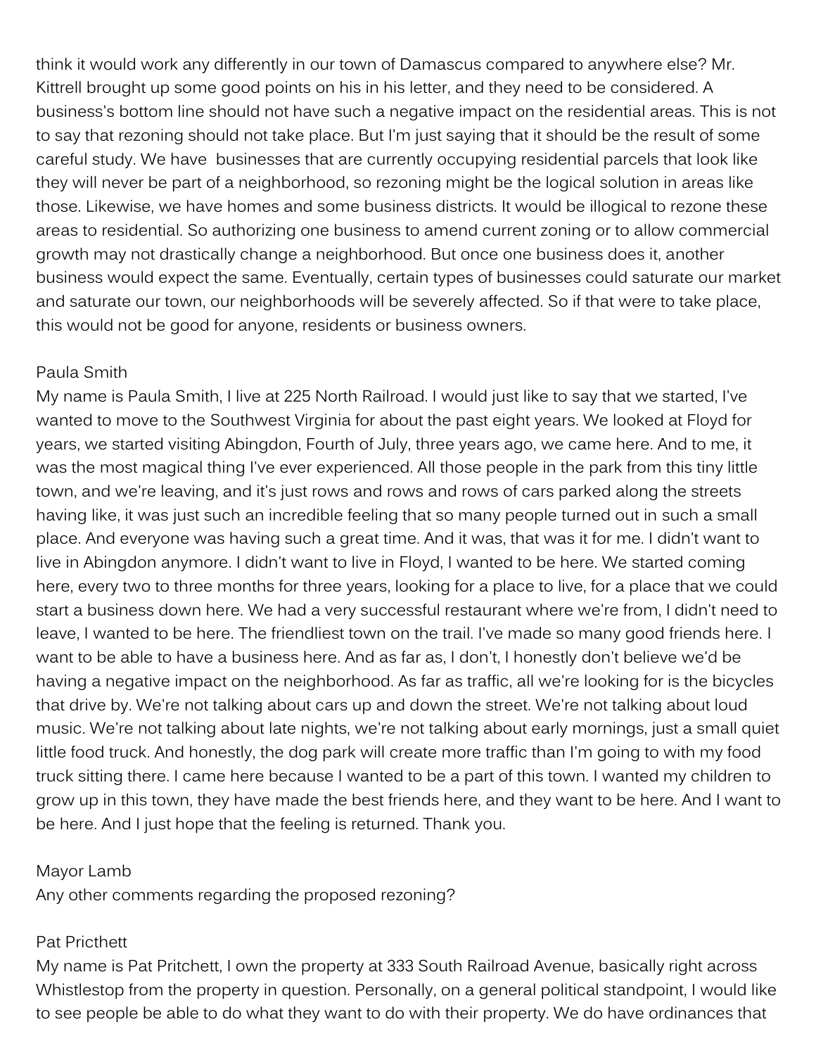think it would work any differently in our town of Damascus compared to anywhere else? Mr. Kittrell brought up some good points on his in his letter, and they need to be considered. A business's bottom line should not have such a negative impact on the residential areas. This is not to say that rezoning should not take place. But I'm just saying that it should be the result of some careful study. We have businesses that are currently occupying residential parcels that look like they will never be part of a neighborhood, so rezoning might be the logical solution in areas like those. Likewise, we have homes and some business districts. It would be illogical to rezone these areas to residential. So authorizing one business to amend current zoning or to allow commercial growth may not drastically change a neighborhood. But once one business does it, another business would expect the same. Eventually, certain types of businesses could saturate our market and saturate our town, our neighborhoods will be severely affected. So if that were to take place, this would not be good for anyone, residents or business owners.

#### Paula Smith

My name is Paula Smith, I live at 225 North Railroad. I would just like to say that we started, I've wanted to move to the Southwest Virginia for about the past eight years. We looked at Floyd for years, we started visiting Abingdon, Fourth of July, three years ago, we came here. And to me, it was the most magical thing I've ever experienced. All those people in the park from this tiny little town, and we're leaving, and it's just rows and rows and rows of cars parked along the streets having like, it was just such an incredible feeling that so many people turned out in such a small place. And everyone was having such a great time. And it was, that was it for me. I didn't want to live in Abingdon anymore. I didn't want to live in Floyd, I wanted to be here. We started coming here, every two to three months for three years, looking for a place to live, for a place that we could start a business down here. We had a very successful restaurant where we're from, I didn't need to leave, I wanted to be here. The friendliest town on the trail. I've made so many good friends here. I want to be able to have a business here. And as far as, I don't, I honestly don't believe we'd be having a negative impact on the neighborhood. As far as traffic, all we're looking for is the bicycles that drive by. We're not talking about cars up and down the street. We're not talking about loud music. We're not talking about late nights, we're not talking about early mornings, just a small quiet little food truck. And honestly, the dog park will create more traffic than I'm going to with my food truck sitting there. I came here because I wanted to be a part of this town. I wanted my children to grow up in this town, they have made the best friends here, and they want to be here. And I want to be here. And I just hope that the feeling is returned. Thank you.

#### Mayor Lamb

Any other comments regarding the proposed rezoning?

## Pat Pricthett

My name is Pat Pritchett, I own the property at 333 South Railroad Avenue, basically right across Whistlestop from the property in question. Personally, on a general political standpoint, I would like to see people be able to do what they want to do with their property. We do have ordinances that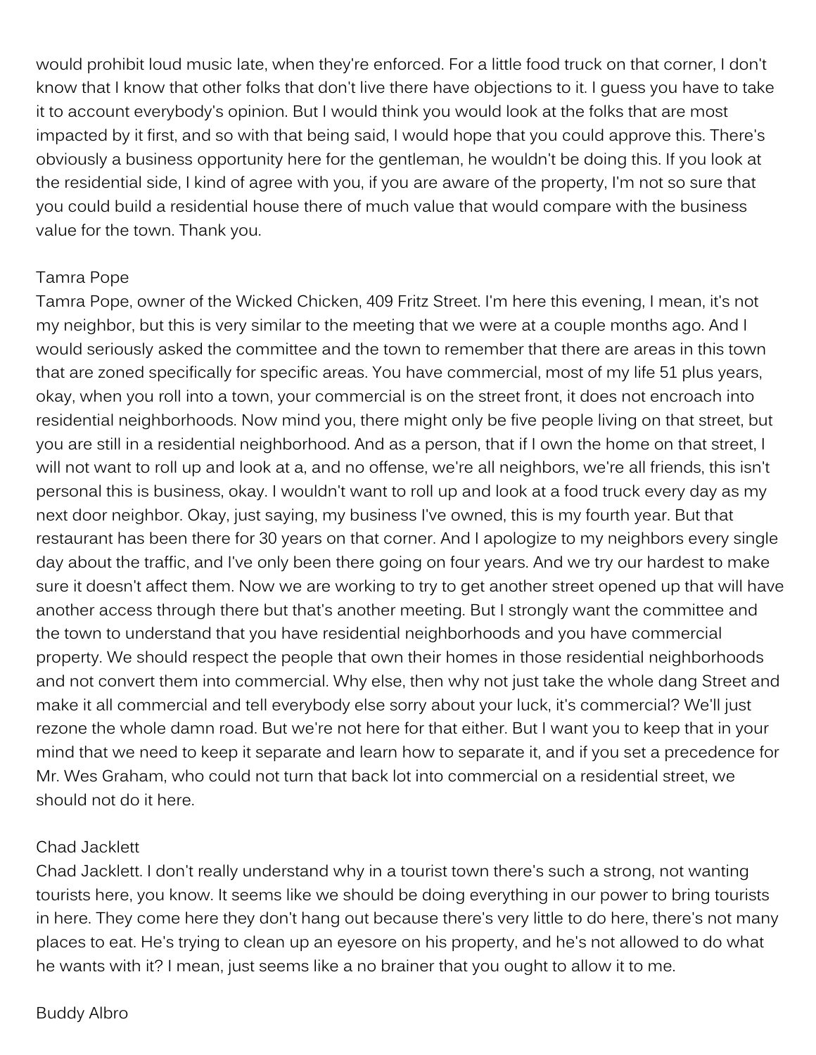would prohibit loud music late, when they're enforced. For a little food truck on that corner, I don't know that I know that other folks that don't live there have objections to it. I guess you have to take it to account everybody's opinion. But I would think you would look at the folks that are most impacted by it first, and so with that being said, I would hope that you could approve this. There's obviously a business opportunity here for the gentleman, he wouldn't be doing this. If you look at the residential side, I kind of agree with you, if you are aware of the property, I'm not so sure that you could build a residential house there of much value that would compare with the business value for the town. Thank you.

### Tamra Pope

Tamra Pope, owner of the Wicked Chicken, 409 Fritz Street. I'm here this evening, I mean, it's not my neighbor, but this is very similar to the meeting that we were at a couple months ago. And I would seriously asked the committee and the town to remember that there are areas in this town that are zoned specifically for specific areas. You have commercial, most of my life 51 plus years, okay, when you roll into a town, your commercial is on the street front, it does not encroach into residential neighborhoods. Now mind you, there might only be five people living on that street, but you are still in a residential neighborhood. And as a person, that if I own the home on that street, I will not want to roll up and look at a, and no offense, we're all neighbors, we're all friends, this isn't personal this is business, okay. I wouldn't want to roll up and look at a food truck every day as my next door neighbor. Okay, just saying, my business I've owned, this is my fourth year. But that restaurant has been there for 30 years on that corner. And I apologize to my neighbors every single day about the traffic, and I've only been there going on four years. And we try our hardest to make sure it doesn't affect them. Now we are working to try to get another street opened up that will have another access through there but that's another meeting. But I strongly want the committee and the town to understand that you have residential neighborhoods and you have commercial property. We should respect the people that own their homes in those residential neighborhoods and not convert them into commercial. Why else, then why not just take the whole dang Street and make it all commercial and tell everybody else sorry about your luck, it's commercial? We'll just rezone the whole damn road. But we're not here for that either. But I want you to keep that in your mind that we need to keep it separate and learn how to separate it, and if you set a precedence for Mr. Wes Graham, who could not turn that back lot into commercial on a residential street, we should not do it here.

#### Chad Jacklett

Chad Jacklett. I don't really understand why in a tourist town there's such a strong, not wanting tourists here, you know. It seems like we should be doing everything in our power to bring tourists in here. They come here they don't hang out because there's very little to do here, there's not many places to eat. He's trying to clean up an eyesore on his property, and he's not allowed to do what he wants with it? I mean, just seems like a no brainer that you ought to allow it to me.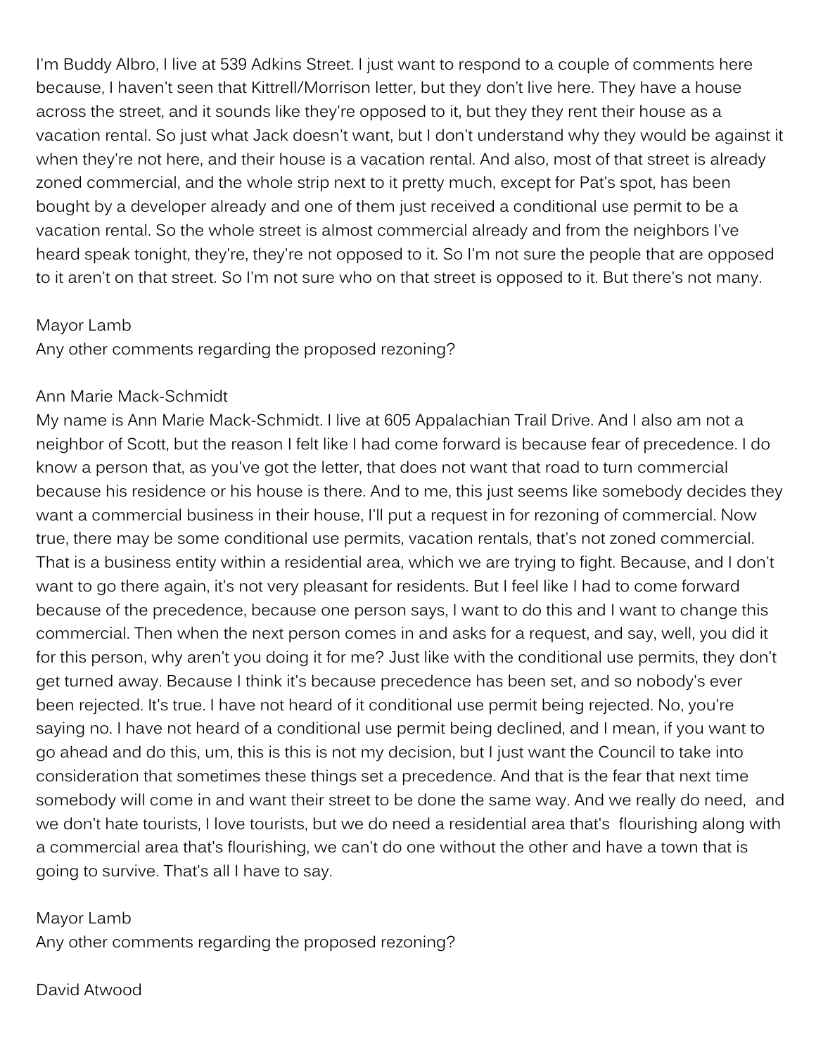I'm Buddy Albro, I live at 539 Adkins Street. I just want to respond to a couple of comments here because, I haven't seen that Kittrell/Morrison letter, but they don't live here. They have a house across the street, and it sounds like they're opposed to it, but they they rent their house as a vacation rental. So just what Jack doesn't want, but I don't understand why they would be against it when they're not here, and their house is a vacation rental. And also, most of that street is already zoned commercial, and the whole strip next to it pretty much, except for Pat's spot, has been bought by a developer already and one of them just received a conditional use permit to be a vacation rental. So the whole street is almost commercial already and from the neighbors I've heard speak tonight, they're, they're not opposed to it. So I'm not sure the people that are opposed to it aren't on that street. So I'm not sure who on that street is opposed to it. But there's not many.

#### Mayor Lamb

Any other comments regarding the proposed rezoning?

#### Ann Marie Mack-Schmidt

My name is Ann Marie Mack-Schmidt. I live at 605 Appalachian Trail Drive. And I also am not a neighbor of Scott, but the reason I felt like I had come forward is because fear of precedence. I do know a person that, as you've got the letter, that does not want that road to turn commercial because his residence or his house is there. And to me, this just seems like somebody decides they want a commercial business in their house, I'll put a request in for rezoning of commercial. Now true, there may be some conditional use permits, vacation rentals, that's not zoned commercial. That is a business entity within a residential area, which we are trying to fight. Because, and I don't want to go there again, it's not very pleasant for residents. But I feel like I had to come forward because of the precedence, because one person says, I want to do this and I want to change this commercial. Then when the next person comes in and asks for a request, and say, well, you did it for this person, why aren't you doing it for me? Just like with the conditional use permits, they don't get turned away. Because I think it's because precedence has been set, and so nobody's ever been rejected. It's true. I have not heard of it conditional use permit being rejected. No, you're saying no. I have not heard of a conditional use permit being declined, and I mean, if you want to go ahead and do this, um, this is this is not my decision, but I just want the Council to take into consideration that sometimes these things set a precedence. And that is the fear that next time somebody will come in and want their street to be done the same way. And we really do need, and we don't hate tourists, I love tourists, but we do need a residential area that's flourishing along with a commercial area that's flourishing, we can't do one without the other and have a town that is going to survive. That's all I have to say.

### Mayor Lamb

Any other comments regarding the proposed rezoning?

## David Atwood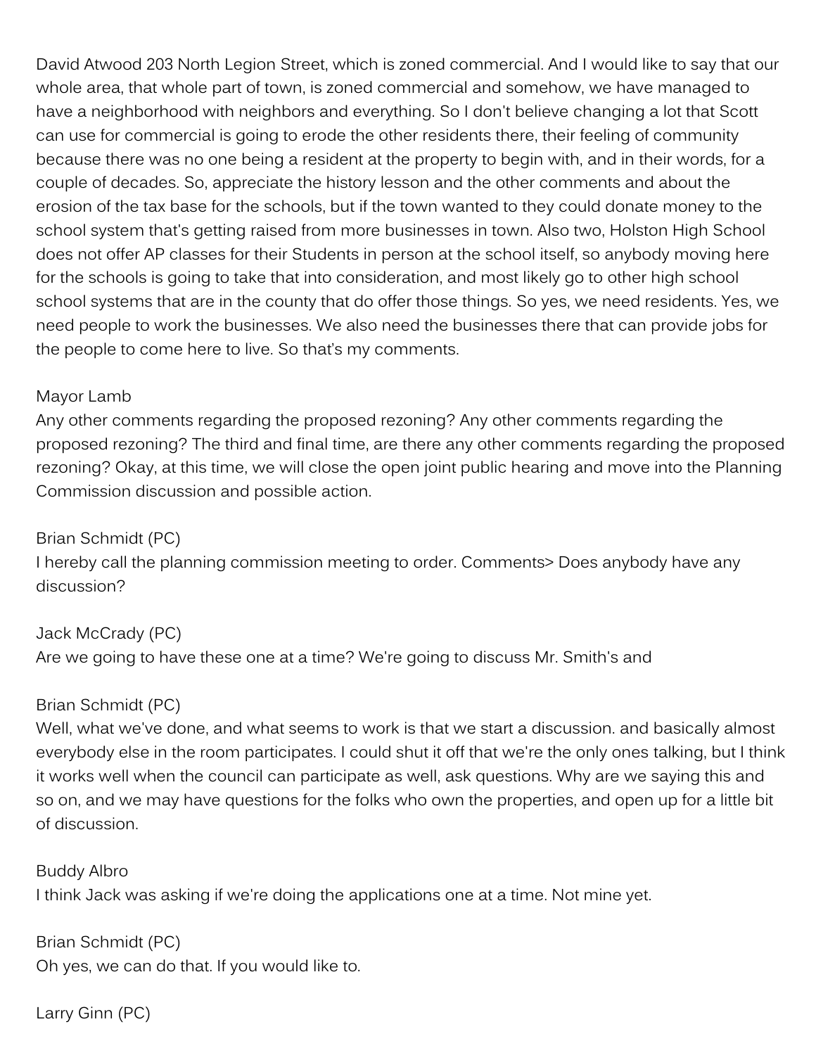David Atwood 203 North Legion Street, which is zoned commercial. And I would like to say that our whole area, that whole part of town, is zoned commercial and somehow, we have managed to have a neighborhood with neighbors and everything. So I don't believe changing a lot that Scott can use for commercial is going to erode the other residents there, their feeling of community because there was no one being a resident at the property to begin with, and in their words, for a couple of decades. So, appreciate the history lesson and the other comments and about the erosion of the tax base for the schools, but if the town wanted to they could donate money to the school system that's getting raised from more businesses in town. Also two, Holston High School does not offer AP classes for their Students in person at the school itself, so anybody moving here for the schools is going to take that into consideration, and most likely go to other high school school systems that are in the county that do offer those things. So yes, we need residents. Yes, we need people to work the businesses. We also need the businesses there that can provide jobs for the people to come here to live. So that's my comments.

#### Mayor Lamb

Any other comments regarding the proposed rezoning? Any other comments regarding the proposed rezoning? The third and final time, are there any other comments regarding the proposed rezoning? Okay, at this time, we will close the open joint public hearing and move into the Planning Commission discussion and possible action.

Brian Schmidt (PC) I hereby call the planning commission meeting to order. Comments> Does anybody have any discussion?

Jack McCrady (PC) Are we going to have these one at a time? We're going to discuss Mr. Smith's and

### Brian Schmidt (PC)

Well, what we've done, and what seems to work is that we start a discussion. and basically almost everybody else in the room participates. I could shut it off that we're the only ones talking, but I think it works well when the council can participate as well, ask questions. Why are we saying this and so on, and we may have questions for the folks who own the properties, and open up for a little bit of discussion.

Buddy Albro I think Jack was asking if we're doing the applications one at a time. Not mine yet.

Brian Schmidt (PC) Oh yes, we can do that. If you would like to.

Larry Ginn (PC)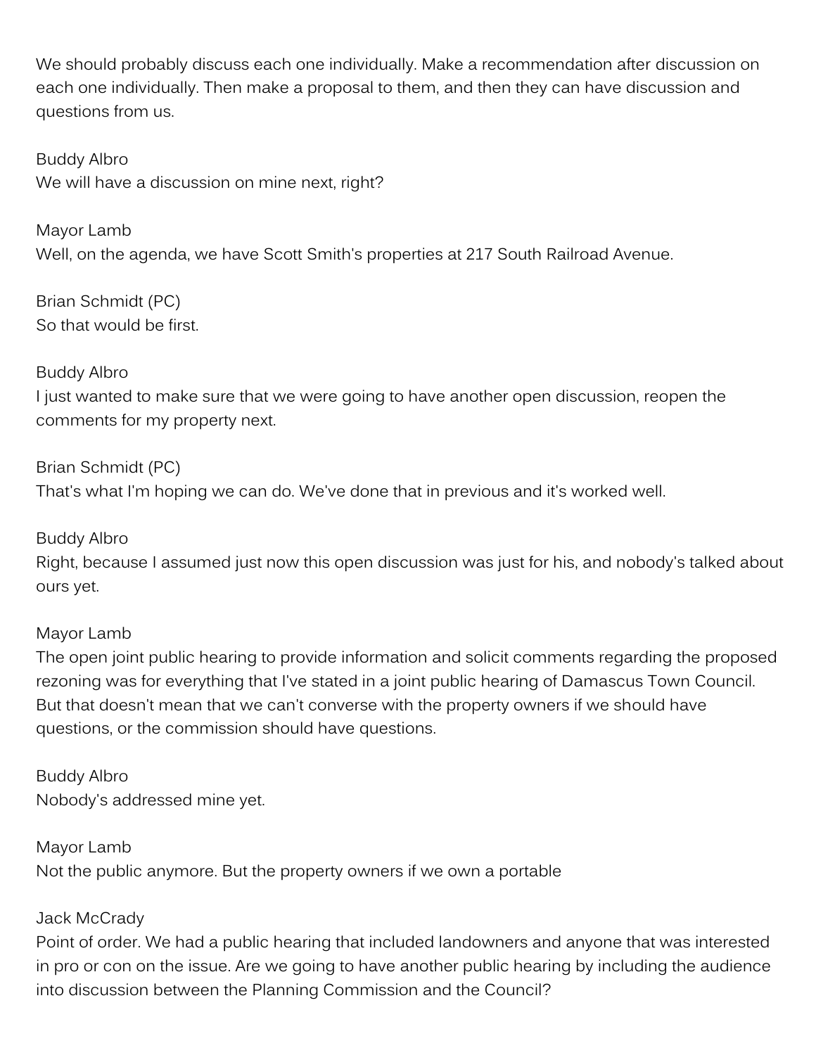We should probably discuss each one individually. Make a recommendation after discussion on each one individually. Then make a proposal to them, and then they can have discussion and questions from us.

Buddy Albro We will have a discussion on mine next, right?

Mayor Lamb Well, on the agenda, we have Scott Smith's properties at 217 South Railroad Avenue.

Brian Schmidt (PC) So that would be first.

### Buddy Albro

I just wanted to make sure that we were going to have another open discussion, reopen the comments for my property next.

### Brian Schmidt (PC)

That's what I'm hoping we can do. We've done that in previous and it's worked well.

### Buddy Albro

Right, because I assumed just now this open discussion was just for his, and nobody's talked about ours yet.

### Mayor Lamb

The open joint public hearing to provide information and solicit comments regarding the proposed rezoning was for everything that I've stated in a joint public hearing of Damascus Town Council. But that doesn't mean that we can't converse with the property owners if we should have questions, or the commission should have questions.

Buddy Albro Nobody's addressed mine yet.

Mayor Lamb Not the public anymore. But the property owners if we own a portable

### Jack McCrady

Point of order. We had a public hearing that included landowners and anyone that was interested in pro or con on the issue. Are we going to have another public hearing by including the audience into discussion between the Planning Commission and the Council?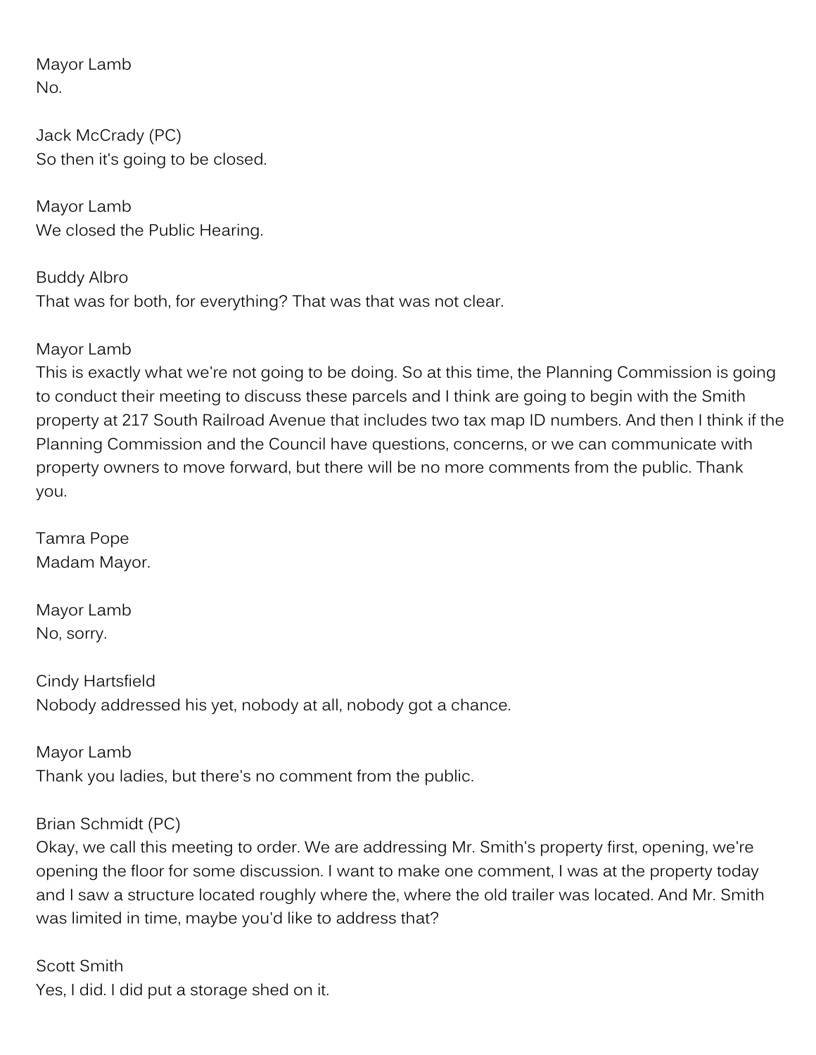Mayor Lamb No.

Jack McCrady (PC) So then it's going to be closed.

Mayor Lamb We closed the Public Hearing.

Buddy Albro That was for both, for everything? That was that was not clear.

Mayor Lamb

This is exactly what we're not going to be doing. So at this time, the Planning Commission is going to conduct their meeting to discuss these parcels and I think are going to begin with the Smith property at 217 South Railroad Avenue that includes two tax map ID numbers. And then I think if the Planning Commission and the Council have questions, concerns, or we can communicate with property owners to move forward, but there will be no more comments from the public. Thank you.

Tamra Pope Madam Mayor.

Mayor Lamb No, sorry.

Cindy Hartsfield Nobody addressed his yet, nobody at all, nobody got a chance.

Mayor Lamb Thank you ladies, but there's no comment from the public.

### Brian Schmidt (PC)

Okay, we call this meeting to order. We are addressing Mr. Smith's property first, opening, we're opening the floor for some discussion. I want to make one comment, I was at the property today and I saw a structure located roughly where the, where the old trailer was located. And Mr. Smith was limited in time, maybe you'd like to address that?

Scott Smith Yes, I did. I did put a storage shed on it.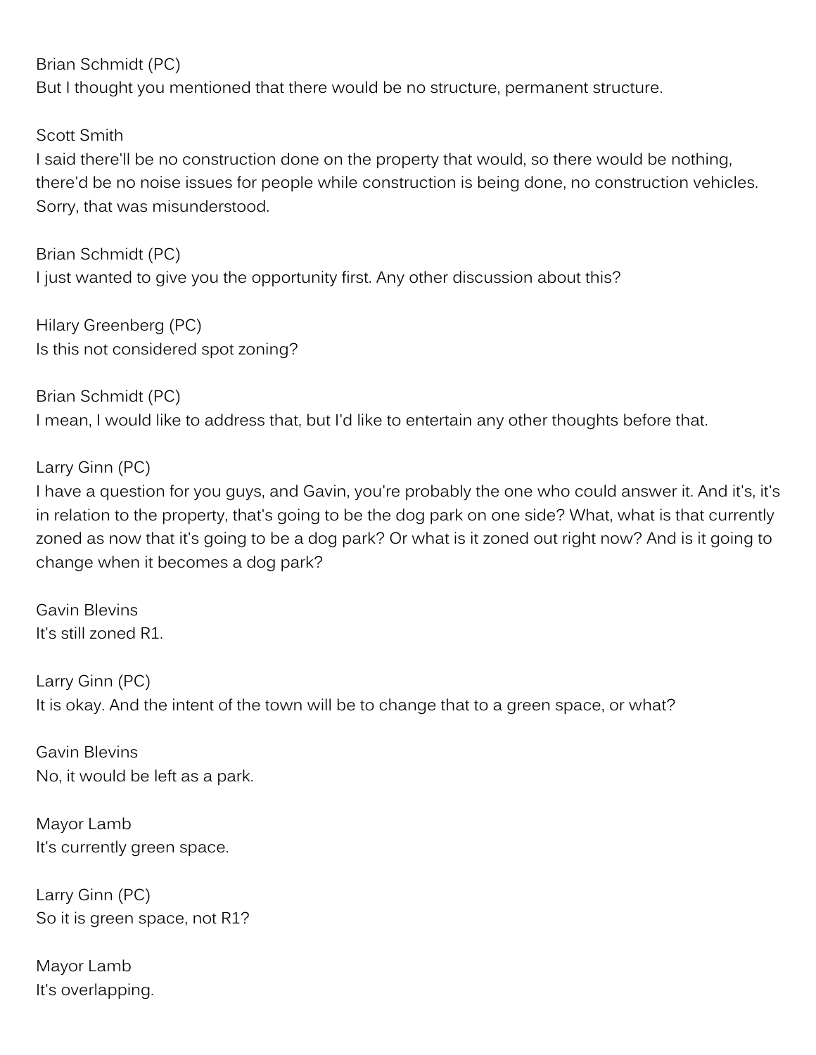Brian Schmidt (PC) But I thought you mentioned that there would be no structure, permanent structure.

Scott Smith

I said there'll be no construction done on the property that would, so there would be nothing, there'd be no noise issues for people while construction is being done, no construction vehicles. Sorry, that was misunderstood.

Brian Schmidt (PC) I just wanted to give you the opportunity first. Any other discussion about this?

Hilary Greenberg (PC) Is this not considered spot zoning?

Brian Schmidt (PC) I mean, I would like to address that, but I'd like to entertain any other thoughts before that.

Larry Ginn (PC)

I have a question for you guys, and Gavin, you're probably the one who could answer it. And it's, it's in relation to the property, that's going to be the dog park on one side? What, what is that currently zoned as now that it's going to be a dog park? Or what is it zoned out right now? And is it going to change when it becomes a dog park?

Gavin Blevins It's still zoned R1.

Larry Ginn (PC) It is okay. And the intent of the town will be to change that to a green space, or what?

Gavin Blevins No, it would be left as a park.

Mayor Lamb It's currently green space.

Larry Ginn (PC) So it is green space, not R1?

Mayor Lamb It's overlapping.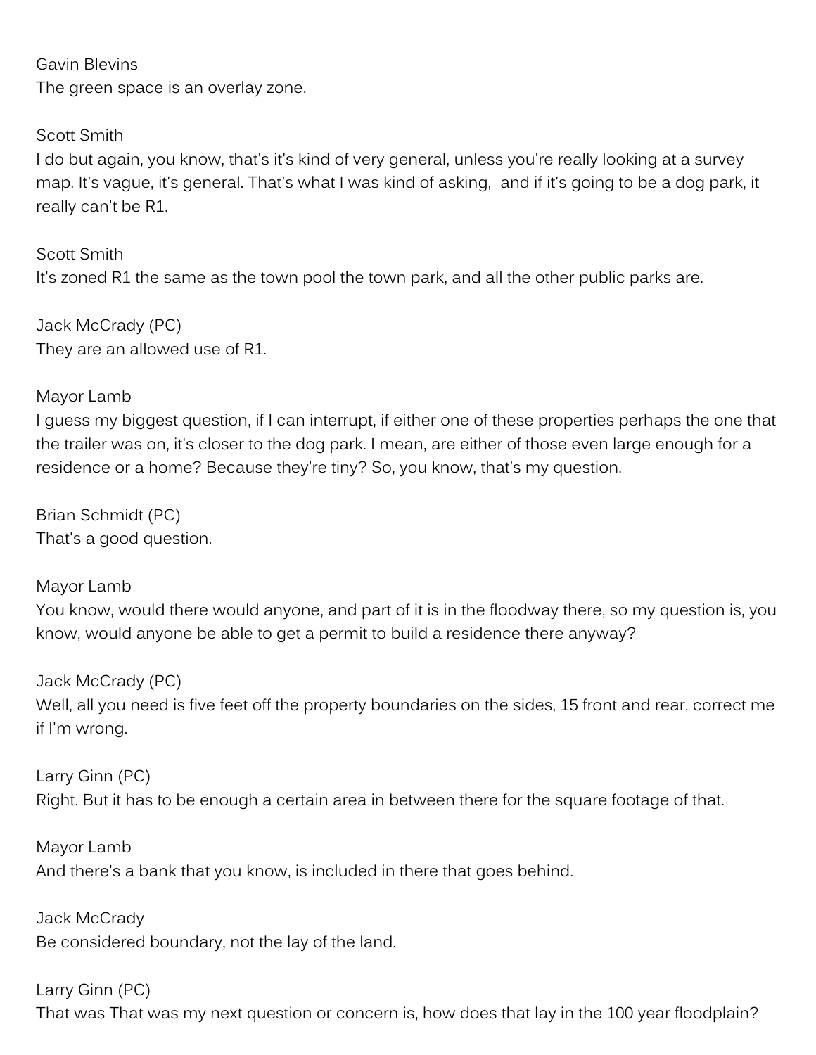Gavin Blevins The green space is an overlay zone.

Scott Smith I do but again, you know, that's it's kind of very general, unless you're really looking at a survey map. It's vague, it's general. That's what I was kind of asking, and if it's going to be a dog park, it really can't be R1.

Scott Smith It's zoned R1 the same as the town pool the town park, and all the other public parks are.

Jack McCrady (PC) They are an allowed use of R1.

### Mayor Lamb

I guess my biggest question, if I can interrupt, if either one of these properties perhaps the one that the trailer was on, it's closer to the dog park. I mean, are either of those even large enough for a residence or a home? Because they're tiny? So, you know, that's my question.

Brian Schmidt (PC) That's a good question.

Mayor Lamb

You know, would there would anyone, and part of it is in the floodway there, so my question is, you know, would anyone be able to get a permit to build a residence there anyway?

Jack McCrady (PC) Well, all you need is five feet off the property boundaries on the sides, 15 front and rear, correct me if I'm wrong.

Larry Ginn (PC) Right. But it has to be enough a certain area in between there for the square footage of that.

Mayor Lamb And there's a bank that you know, is included in there that goes behind.

Jack McCrady Be considered boundary, not the lay of the land.

Larry Ginn (PC) That was That was my next question or concern is, how does that lay in the 100 year floodplain?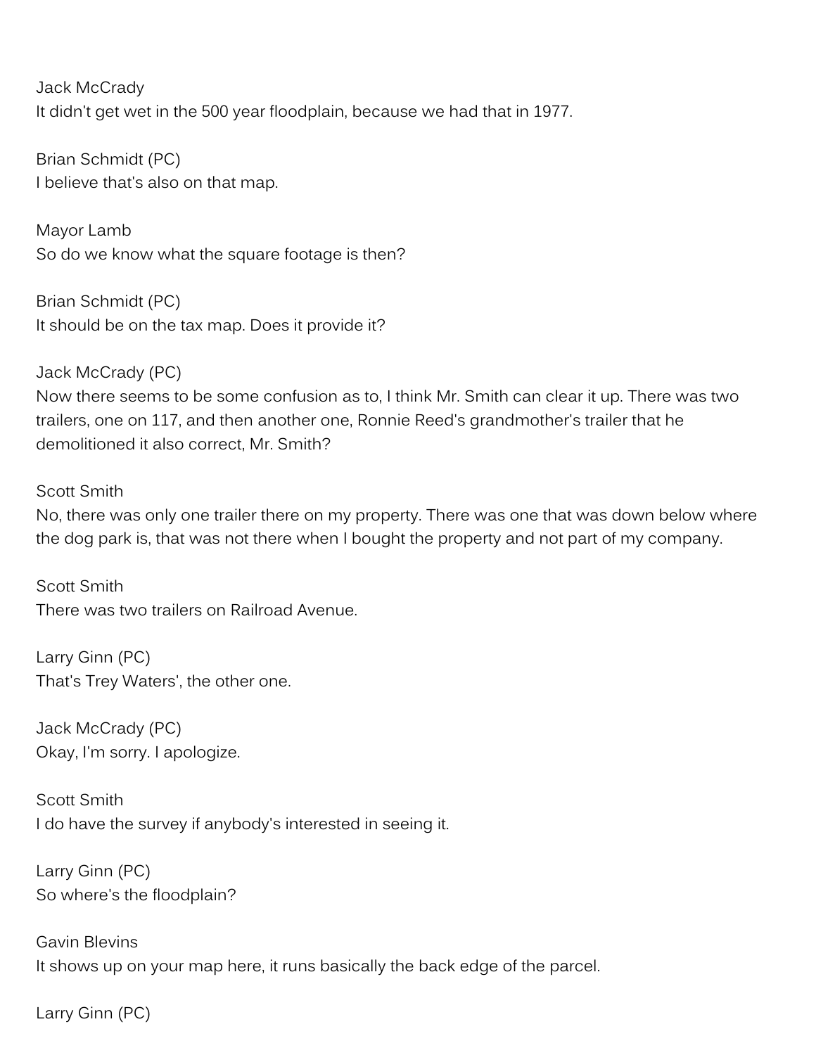Jack McCrady It didn't get wet in the 500 year floodplain, because we had that in 1977.

Brian Schmidt (PC) I believe that's also on that map.

Mayor Lamb So do we know what the square footage is then?

Brian Schmidt (PC) It should be on the tax map. Does it provide it?

Jack McCrady (PC) Now there seems to be some confusion as to, I think Mr. Smith can clear it up. There was two trailers, one on 117, and then another one, Ronnie Reed's grandmother's trailer that he demolitioned it also correct, Mr. Smith?

#### Scott Smith

No, there was only one trailer there on my property. There was one that was down below where the dog park is, that was not there when I bought the property and not part of my company.

Scott Smith There was two trailers on Railroad Avenue.

Larry Ginn (PC) That's Trey Waters', the other one.

Jack McCrady (PC) Okay, I'm sorry. I apologize.

Scott Smith I do have the survey if anybody's interested in seeing it.

Larry Ginn (PC) So where's the floodplain?

Gavin Blevins It shows up on your map here, it runs basically the back edge of the parcel.

Larry Ginn (PC)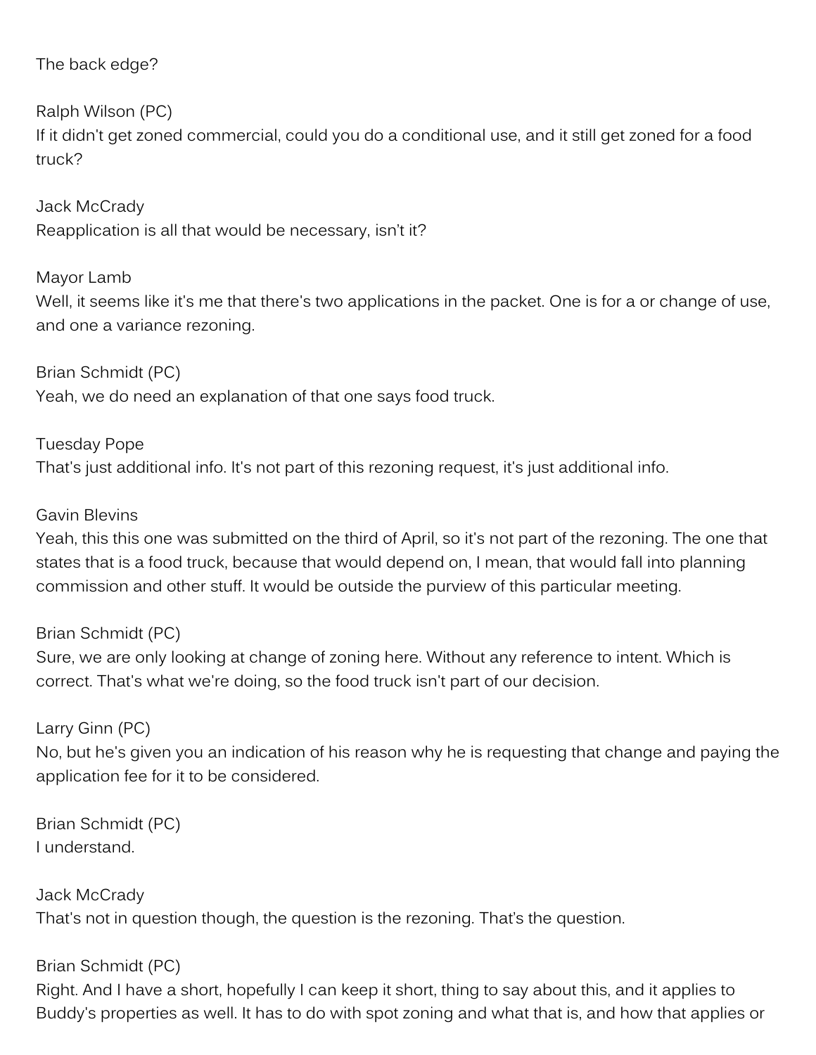### The back edge?

Ralph Wilson (PC)

If it didn't get zoned commercial, could you do a conditional use, and it still get zoned for a food truck?

Jack McCrady Reapplication is all that would be necessary, isn't it?

Mayor Lamb

Well, it seems like it's me that there's two applications in the packet. One is for a or change of use, and one a variance rezoning.

Brian Schmidt (PC) Yeah, we do need an explanation of that one says food truck.

Tuesday Pope That's just additional info. It's not part of this rezoning request, it's just additional info.

### Gavin Blevins

Yeah, this this one was submitted on the third of April, so it's not part of the rezoning. The one that states that is a food truck, because that would depend on, I mean, that would fall into planning commission and other stuff. It would be outside the purview of this particular meeting.

### Brian Schmidt (PC)

Sure, we are only looking at change of zoning here. Without any reference to intent. Which is correct. That's what we're doing, so the food truck isn't part of our decision.

### Larry Ginn (PC)

No, but he's given you an indication of his reason why he is requesting that change and paying the application fee for it to be considered.

Brian Schmidt (PC) I understand.

Jack McCrady That's not in question though, the question is the rezoning. That's the question.

## Brian Schmidt (PC)

Right. And I have a short, hopefully I can keep it short, thing to say about this, and it applies to Buddy's properties as well. It has to do with spot zoning and what that is, and how that applies or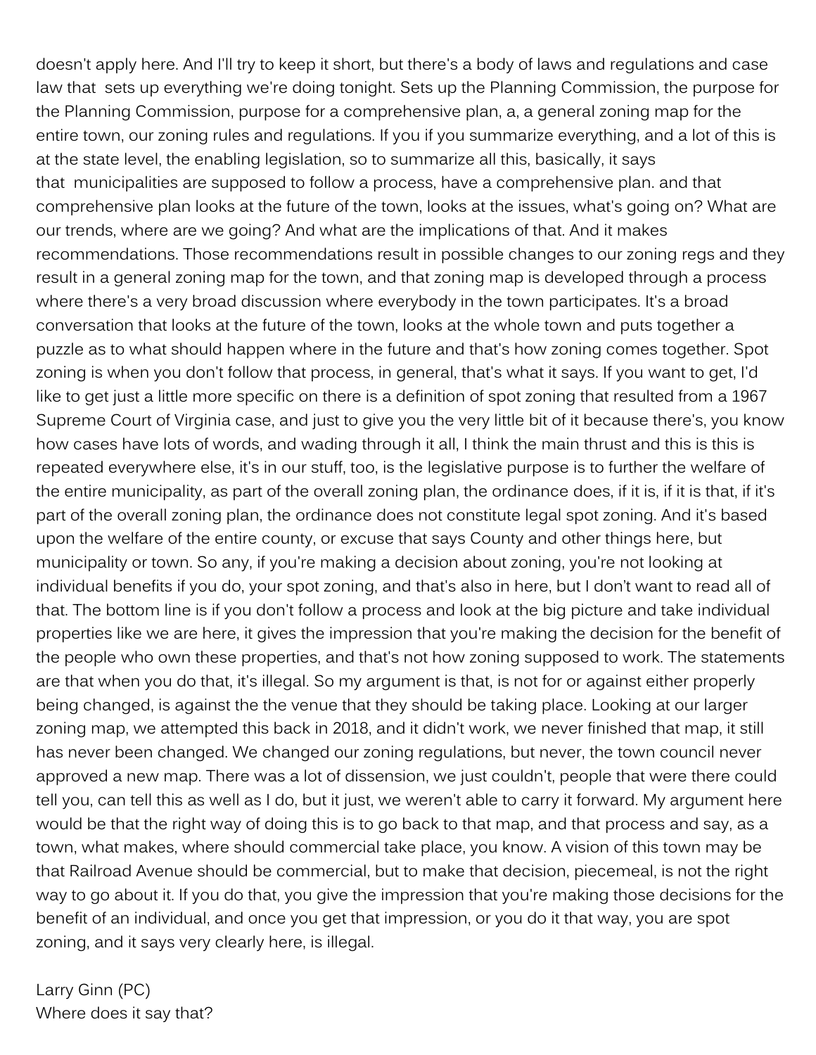doesn't apply here. And I'll try to keep it short, but there's a body of laws and regulations and case law that sets up everything we're doing tonight. Sets up the Planning Commission, the purpose for the Planning Commission, purpose for a comprehensive plan, a, a general zoning map for the entire town, our zoning rules and regulations. If you if you summarize everything, and a lot of this is at the state level, the enabling legislation, so to summarize all this, basically, it says that municipalities are supposed to follow a process, have a comprehensive plan. and that comprehensive plan looks at the future of the town, looks at the issues, what's going on? What are our trends, where are we going? And what are the implications of that. And it makes recommendations. Those recommendations result in possible changes to our zoning regs and they result in a general zoning map for the town, and that zoning map is developed through a process where there's a very broad discussion where everybody in the town participates. It's a broad conversation that looks at the future of the town, looks at the whole town and puts together a puzzle as to what should happen where in the future and that's how zoning comes together. Spot zoning is when you don't follow that process, in general, that's what it says. If you want to get, I'd like to get just a little more specific on there is a definition of spot zoning that resulted from a 1967 Supreme Court of Virginia case, and just to give you the very little bit of it because there's, you know how cases have lots of words, and wading through it all, I think the main thrust and this is this is repeated everywhere else, it's in our stuff, too, is the legislative purpose is to further the welfare of the entire municipality, as part of the overall zoning plan, the ordinance does, if it is, if it is that, if it's part of the overall zoning plan, the ordinance does not constitute legal spot zoning. And it's based upon the welfare of the entire county, or excuse that says County and other things here, but municipality or town. So any, if you're making a decision about zoning, you're not looking at individual benefits if you do, your spot zoning, and that's also in here, but I don't want to read all of that. The bottom line is if you don't follow a process and look at the big picture and take individual properties like we are here, it gives the impression that you're making the decision for the benefit of the people who own these properties, and that's not how zoning supposed to work. The statements are that when you do that, it's illegal. So my argument is that, is not for or against either properly being changed, is against the the venue that they should be taking place. Looking at our larger zoning map, we attempted this back in 2018, and it didn't work, we never finished that map, it still has never been changed. We changed our zoning regulations, but never, the town council never approved a new map. There was a lot of dissension, we just couldn't, people that were there could tell you, can tell this as well as I do, but it just, we weren't able to carry it forward. My argument here would be that the right way of doing this is to go back to that map, and that process and say, as a town, what makes, where should commercial take place, you know. A vision of this town may be that Railroad Avenue should be commercial, but to make that decision, piecemeal, is not the right way to go about it. If you do that, you give the impression that you're making those decisions for the benefit of an individual, and once you get that impression, or you do it that way, you are spot zoning, and it says very clearly here, is illegal.

Larry Ginn (PC) Where does it say that?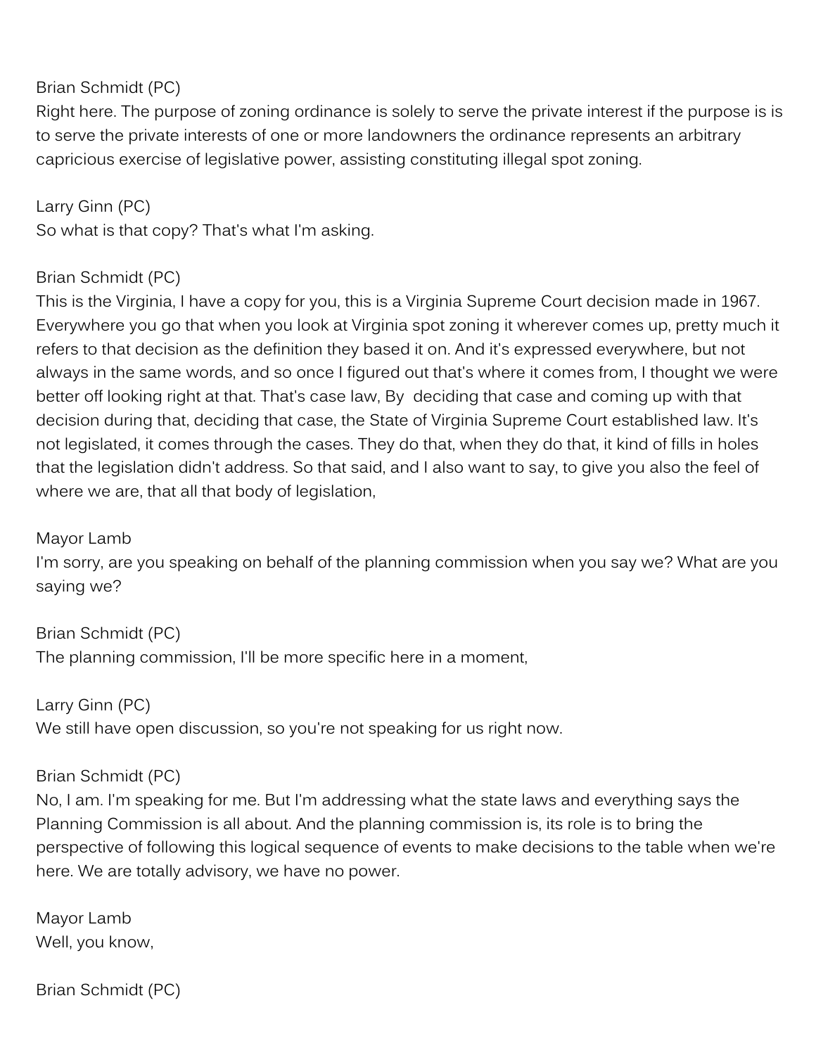### Brian Schmidt (PC)

Right here. The purpose of zoning ordinance is solely to serve the private interest if the purpose is is to serve the private interests of one or more landowners the ordinance represents an arbitrary capricious exercise of legislative power, assisting constituting illegal spot zoning.

## Larry Ginn (PC)

So what is that copy? That's what I'm asking.

### Brian Schmidt (PC)

This is the Virginia, I have a copy for you, this is a Virginia Supreme Court decision made in 1967. Everywhere you go that when you look at Virginia spot zoning it wherever comes up, pretty much it refers to that decision as the definition they based it on. And it's expressed everywhere, but not always in the same words, and so once I figured out that's where it comes from, I thought we were better off looking right at that. That's case law, By deciding that case and coming up with that decision during that, deciding that case, the State of Virginia Supreme Court established law. It's not legislated, it comes through the cases. They do that, when they do that, it kind of fills in holes that the legislation didn't address. So that said, and I also want to say, to give you also the feel of where we are, that all that body of legislation,

Mayor Lamb

I'm sorry, are you speaking on behalf of the planning commission when you say we? What are you saying we?

Brian Schmidt (PC) The planning commission, I'll be more specific here in a moment,

Larry Ginn (PC) We still have open discussion, so you're not speaking for us right now.

### Brian Schmidt (PC)

No, I am. I'm speaking for me. But I'm addressing what the state laws and everything says the Planning Commission is all about. And the planning commission is, its role is to bring the perspective of following this logical sequence of events to make decisions to the table when we're here. We are totally advisory, we have no power.

Mayor Lamb Well, you know,

Brian Schmidt (PC)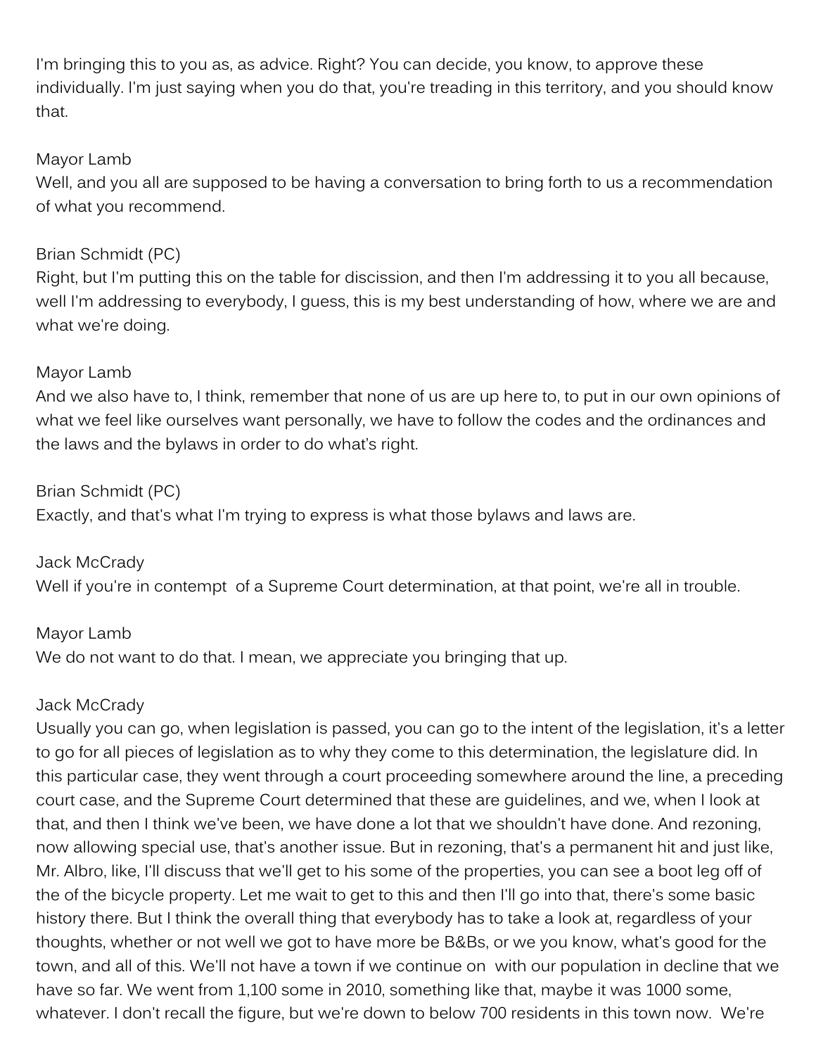I'm bringing this to you as, as advice. Right? You can decide, you know, to approve these individually. I'm just saying when you do that, you're treading in this territory, and you should know that.

#### Mayor Lamb

Well, and you all are supposed to be having a conversation to bring forth to us a recommendation of what you recommend.

### Brian Schmidt (PC)

Right, but I'm putting this on the table for discission, and then I'm addressing it to you all because, well I'm addressing to everybody, I guess, this is my best understanding of how, where we are and what we're doing.

### Mayor Lamb

And we also have to, I think, remember that none of us are up here to, to put in our own opinions of what we feel like ourselves want personally, we have to follow the codes and the ordinances and the laws and the bylaws in order to do what's right.

#### Brian Schmidt (PC)

Exactly, and that's what I'm trying to express is what those bylaws and laws are.

Jack McCrady Well if you're in contempt of a Supreme Court determination, at that point, we're all in trouble.

### Mayor Lamb

We do not want to do that. I mean, we appreciate you bringing that up.

### Jack McCrady

Usually you can go, when legislation is passed, you can go to the intent of the legislation, it's a letter to go for all pieces of legislation as to why they come to this determination, the legislature did. In this particular case, they went through a court proceeding somewhere around the line, a preceding court case, and the Supreme Court determined that these are guidelines, and we, when I look at that, and then I think we've been, we have done a lot that we shouldn't have done. And rezoning, now allowing special use, that's another issue. But in rezoning, that's a permanent hit and just like, Mr. Albro, like, I'll discuss that we'll get to his some of the properties, you can see a boot leg off of the of the bicycle property. Let me wait to get to this and then I'll go into that, there's some basic history there. But I think the overall thing that everybody has to take a look at, regardless of your thoughts, whether or not well we got to have more be B&Bs, or we you know, what's good for the town, and all of this. We'll not have a town if we continue on with our population in decline that we have so far. We went from 1,100 some in 2010, something like that, maybe it was 1000 some, whatever. I don't recall the figure, but we're down to below 700 residents in this town now. We're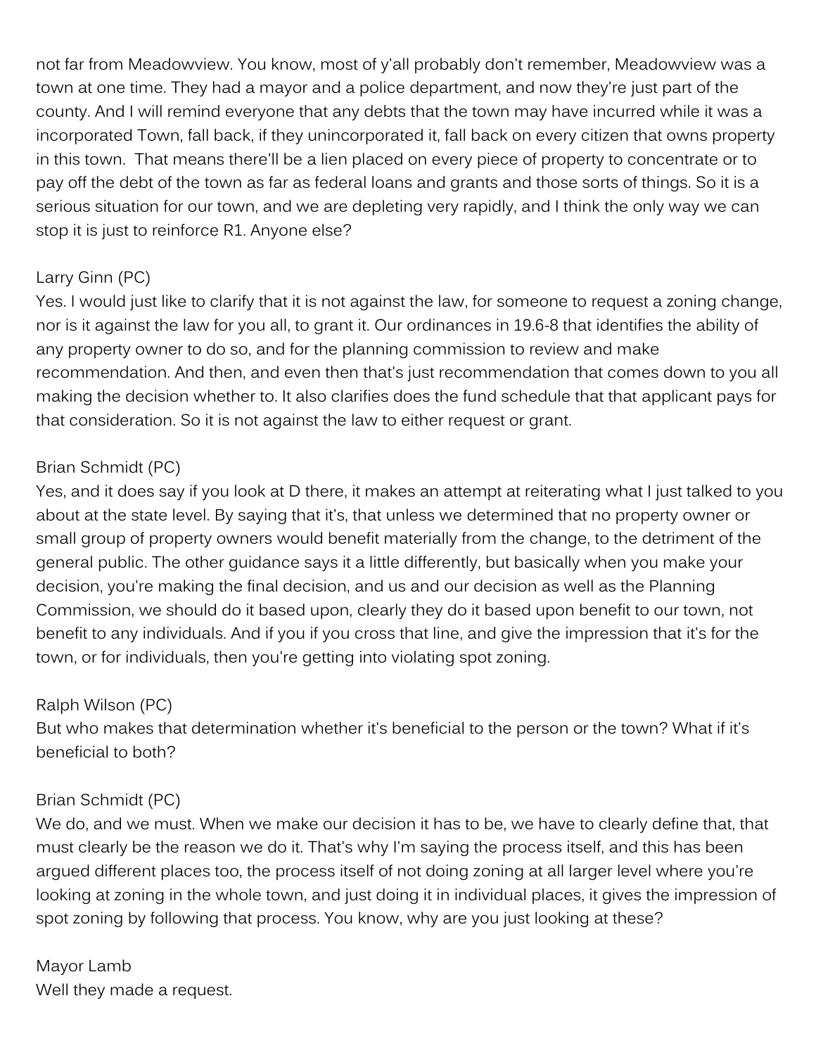not far from Meadowview. You know, most of y'all probably don't remember, Meadowview was a town at one time. They had a mayor and a police department, and now they're just part of the county. And I will remind everyone that any debts that the town may have incurred while it was a incorporated Town, fall back, if they unincorporated it, fall back on every citizen that owns property in this town. That means there'll be a lien placed on every piece of property to concentrate or to pay off the debt of the town as far as federal loans and grants and those sorts of things. So it is a serious situation for our town, and we are depleting very rapidly, and I think the only way we can stop it is just to reinforce R1. Anyone else?

### Larry Ginn (PC)

Yes. I would just like to clarify that it is not against the law, for someone to request a zoning change, nor is it against the law for you all, to grant it. Our ordinances in 19.6-8 that identifies the ability of any property owner to do so, and for the planning commission to review and make recommendation. And then, and even then that's just recommendation that comes down to you all making the decision whether to. It also clarifies does the fund schedule that that applicant pays for that consideration. So it is not against the law to either request or grant.

### Brian Schmidt (PC)

Yes, and it does say if you look at D there, it makes an attempt at reiterating what I just talked to you about at the state level. By saying that it's, that unless we determined that no property owner or small group of property owners would benefit materially from the change, to the detriment of the general public. The other guidance says it a little differently, but basically when you make your decision, you're making the final decision, and us and our decision as well as the Planning Commission, we should do it based upon, clearly they do it based upon benefit to our town, not benefit to any individuals. And if you if you cross that line, and give the impression that it's for the town, or for individuals, then you're getting into violating spot zoning.

#### Ralph Wilson (PC)

But who makes that determination whether it's beneficial to the person or the town? What if it's beneficial to both?

### Brian Schmidt (PC)

We do, and we must. When we make our decision it has to be, we have to clearly define that, that must clearly be the reason we do it. That's why I'm saying the process itself, and this has been argued different places too, the process itself of not doing zoning at all larger level where you're looking at zoning in the whole town, and just doing it in individual places, it gives the impression of spot zoning by following that process. You know, why are you just looking at these?

Mayor Lamb Well they made a request.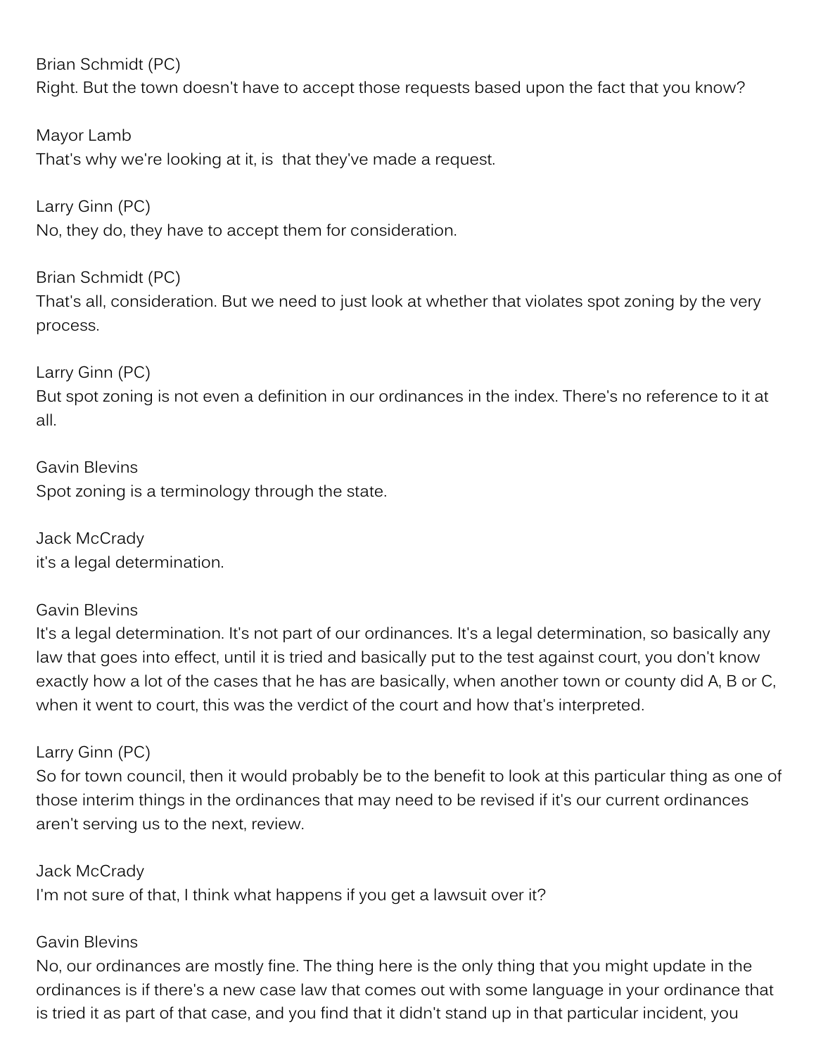Brian Schmidt (PC)

Right. But the town doesn't have to accept those requests based upon the fact that you know?

Mayor Lamb That's why we're looking at it, is that they've made a request.

Larry Ginn (PC) No, they do, they have to accept them for consideration.

Brian Schmidt (PC) That's all, consideration. But we need to just look at whether that violates spot zoning by the very process.

Larry Ginn (PC)

But spot zoning is not even a definition in our ordinances in the index. There's no reference to it at all.

Gavin Blevins Spot zoning is a terminology through the state.

Jack McCrady it's a legal determination.

### Gavin Blevins

It's a legal determination. It's not part of our ordinances. It's a legal determination, so basically any law that goes into effect, until it is tried and basically put to the test against court, you don't know exactly how a lot of the cases that he has are basically, when another town or county did A, B or C, when it went to court, this was the verdict of the court and how that's interpreted.

## Larry Ginn (PC)

So for town council, then it would probably be to the benefit to look at this particular thing as one of those interim things in the ordinances that may need to be revised if it's our current ordinances aren't serving us to the next, review.

Jack McCrady I'm not sure of that, I think what happens if you get a lawsuit over it?

### Gavin Blevins

No, our ordinances are mostly fine. The thing here is the only thing that you might update in the ordinances is if there's a new case law that comes out with some language in your ordinance that is tried it as part of that case, and you find that it didn't stand up in that particular incident, you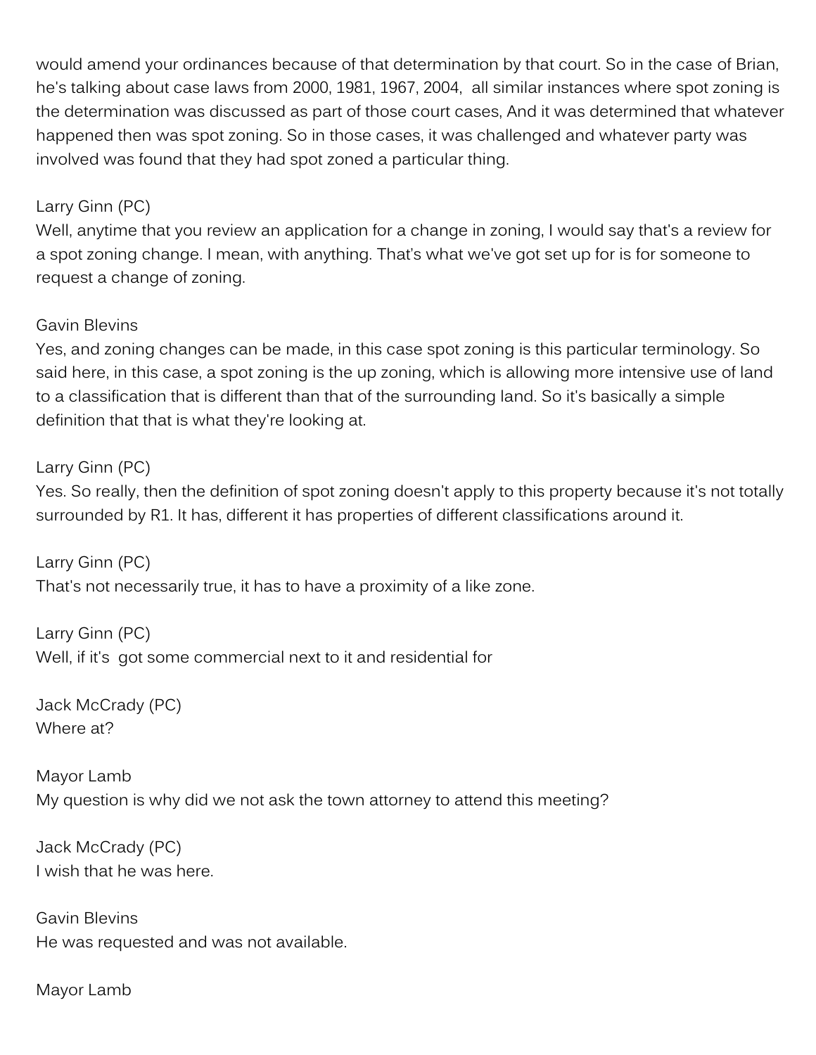would amend your ordinances because of that determination by that court. So in the case of Brian, he's talking about case laws from 2000, 1981, 1967, 2004, all similar instances where spot zoning is the determination was discussed as part of those court cases, And it was determined that whatever happened then was spot zoning. So in those cases, it was challenged and whatever party was involved was found that they had spot zoned a particular thing.

### Larry Ginn (PC)

Well, anytime that you review an application for a change in zoning, I would say that's a review for a spot zoning change. I mean, with anything. That's what we've got set up for is for someone to request a change of zoning.

### Gavin Blevins

Yes, and zoning changes can be made, in this case spot zoning is this particular terminology. So said here, in this case, a spot zoning is the up zoning, which is allowing more intensive use of land to a classification that is different than that of the surrounding land. So it's basically a simple definition that that is what they're looking at.

### Larry Ginn (PC)

Yes. So really, then the definition of spot zoning doesn't apply to this property because it's not totally surrounded by R1. It has, different it has properties of different classifications around it.

Larry Ginn (PC) That's not necessarily true, it has to have a proximity of a like zone.

Larry Ginn (PC) Well, if it's got some commercial next to it and residential for

Jack McCrady (PC) Where at?

Mayor Lamb My question is why did we not ask the town attorney to attend this meeting?

Jack McCrady (PC) I wish that he was here.

Gavin Blevins He was requested and was not available.

Mayor Lamb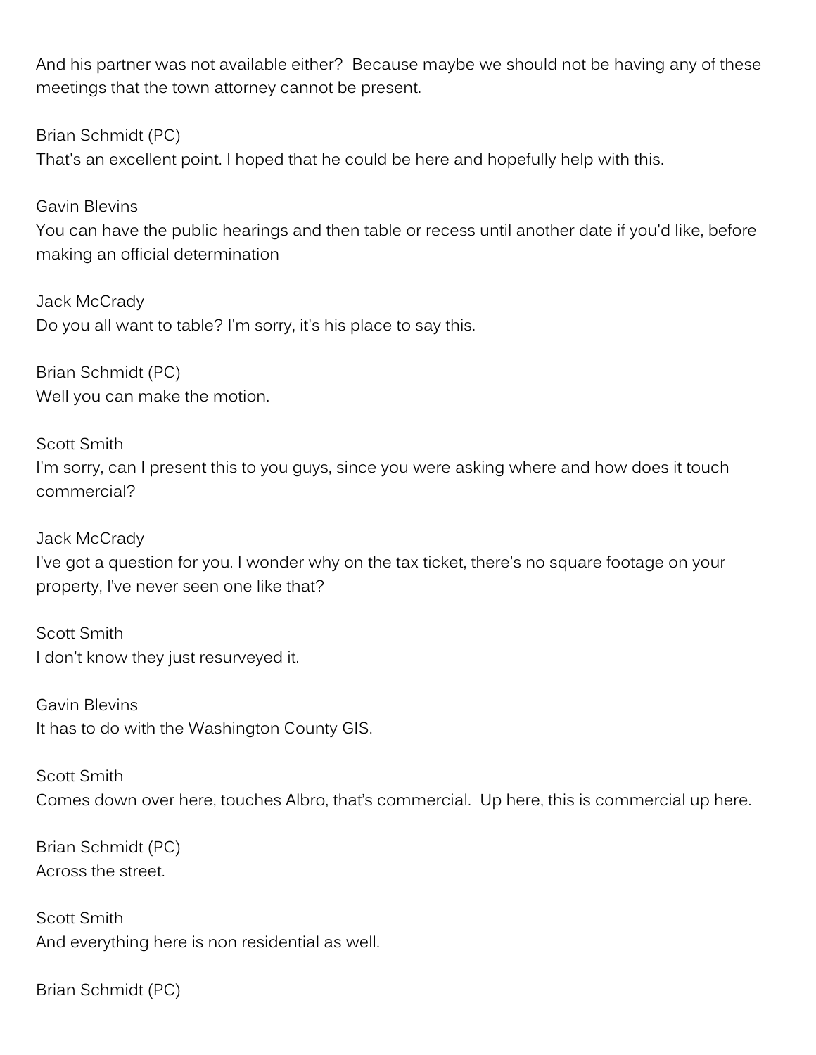And his partner was not available either? Because maybe we should not be having any of these meetings that the town attorney cannot be present.

Brian Schmidt (PC)

That's an excellent point. I hoped that he could be here and hopefully help with this.

Gavin Blevins You can have the public hearings and then table or recess until another date if you'd like, before making an official determination

Jack McCrady Do you all want to table? I'm sorry, it's his place to say this.

Brian Schmidt (PC) Well you can make the motion.

Scott Smith I'm sorry, can I present this to you guys, since you were asking where and how does it touch commercial?

Jack McCrady I've got a question for you. I wonder why on the tax ticket, there's no square footage on your property, I've never seen one like that?

Scott Smith I don't know they just resurveyed it.

Gavin Blevins It has to do with the Washington County GIS.

Scott Smith Comes down over here, touches Albro, that's commercial. Up here, this is commercial up here.

Brian Schmidt (PC) Across the street.

Scott Smith And everything here is non residential as well.

Brian Schmidt (PC)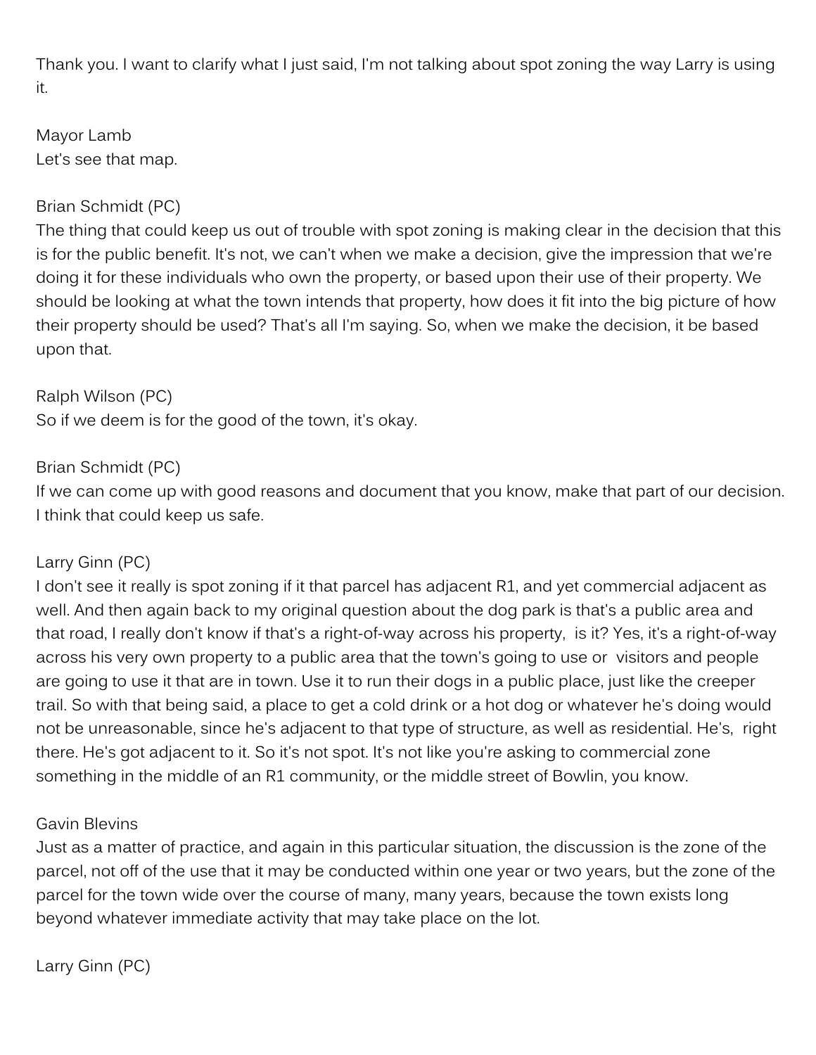Thank you. I want to clarify what I just said, I'm not talking about spot zoning the way Larry is using it.

Mayor Lamb Let's see that map.

## Brian Schmidt (PC)

The thing that could keep us out of trouble with spot zoning is making clear in the decision that this is for the public benefit. It's not, we can't when we make a decision, give the impression that we're doing it for these individuals who own the property, or based upon their use of their property. We should be looking at what the town intends that property, how does it fit into the big picture of how their property should be used? That's all I'm saying. So, when we make the decision, it be based upon that.

Ralph Wilson (PC) So if we deem is for the good of the town, it's okay.

## Brian Schmidt (PC)

If we can come up with good reasons and document that you know, make that part of our decision. I think that could keep us safe.

## Larry Ginn (PC)

I don't see it really is spot zoning if it that parcel has adjacent R1, and yet commercial adjacent as well. And then again back to my original question about the dog park is that's a public area and that road, I really don't know if that's a right-of-way across his property, is it? Yes, it's a right-of-way across his very own property to a public area that the town's going to use or visitors and people are going to use it that are in town. Use it to run their dogs in a public place, just like the creeper trail. So with that being said, a place to get a cold drink or a hot dog or whatever he's doing would not be unreasonable, since he's adjacent to that type of structure, as well as residential. He's, right there. He's got adjacent to it. So it's not spot. It's not like you're asking to commercial zone something in the middle of an R1 community, or the middle street of Bowlin, you know.

### Gavin Blevins

Just as a matter of practice, and again in this particular situation, the discussion is the zone of the parcel, not off of the use that it may be conducted within one year or two years, but the zone of the parcel for the town wide over the course of many, many years, because the town exists long beyond whatever immediate activity that may take place on the lot.

Larry Ginn (PC)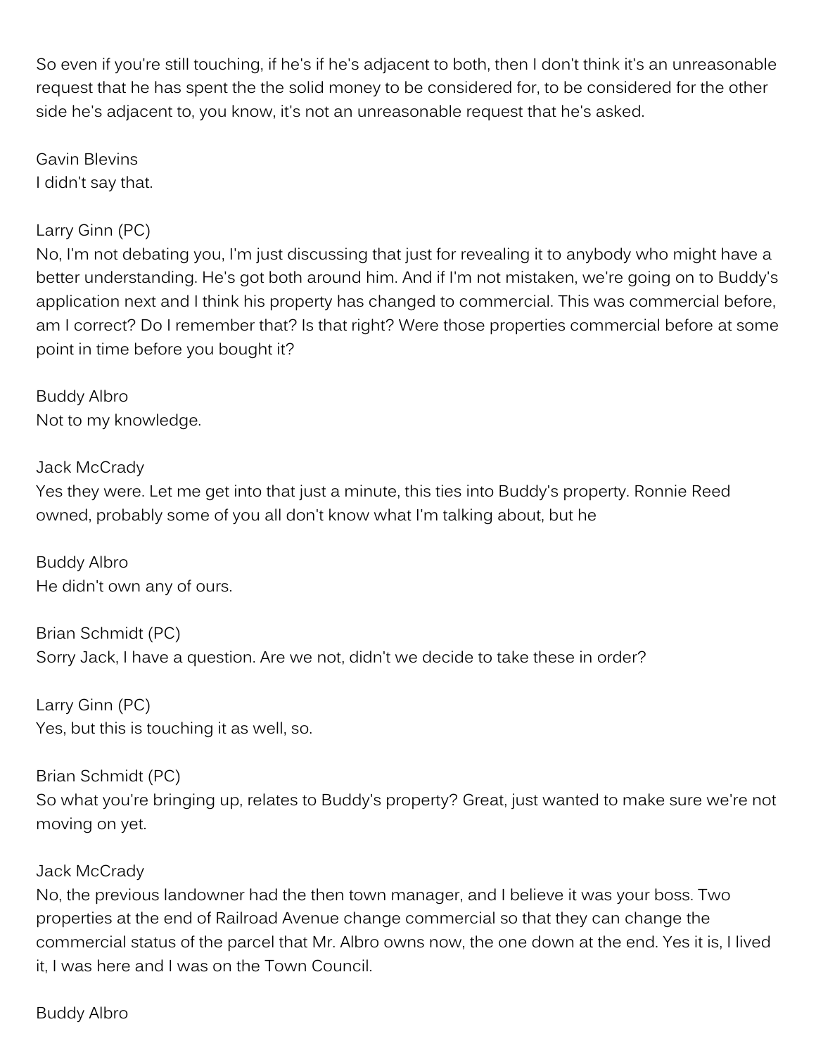So even if you're still touching, if he's if he's adjacent to both, then I don't think it's an unreasonable request that he has spent the the solid money to be considered for, to be considered for the other side he's adjacent to, you know, it's not an unreasonable request that he's asked.

Gavin Blevins I didn't say that.

### Larry Ginn (PC)

No, I'm not debating you, I'm just discussing that just for revealing it to anybody who might have a better understanding. He's got both around him. And if I'm not mistaken, we're going on to Buddy's application next and I think his property has changed to commercial. This was commercial before, am I correct? Do I remember that? Is that right? Were those properties commercial before at some point in time before you bought it?

Buddy Albro Not to my knowledge.

Jack McCrady Yes they were. Let me get into that just a minute, this ties into Buddy's property. Ronnie Reed owned, probably some of you all don't know what I'm talking about, but he

Buddy Albro He didn't own any of ours.

Brian Schmidt (PC) Sorry Jack, I have a question. Are we not, didn't we decide to take these in order?

Larry Ginn (PC) Yes, but this is touching it as well, so.

Brian Schmidt (PC) So what you're bringing up, relates to Buddy's property? Great, just wanted to make sure we're not moving on yet.

#### Jack McCrady

No, the previous landowner had the then town manager, and I believe it was your boss. Two properties at the end of Railroad Avenue change commercial so that they can change the commercial status of the parcel that Mr. Albro owns now, the one down at the end. Yes it is, I lived it, I was here and I was on the Town Council.

Buddy Albro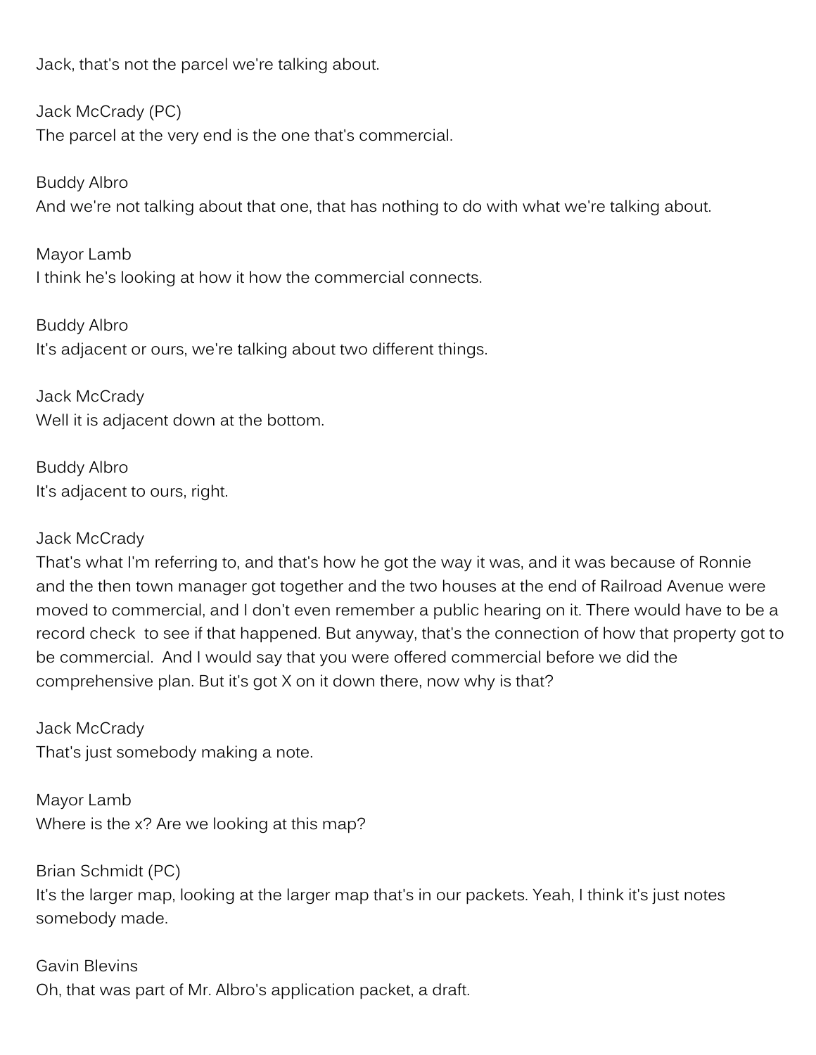Jack, that's not the parcel we're talking about.

Jack McCrady (PC) The parcel at the very end is the one that's commercial.

Buddy Albro And we're not talking about that one, that has nothing to do with what we're talking about.

Mayor Lamb I think he's looking at how it how the commercial connects.

Buddy Albro It's adjacent or ours, we're talking about two different things.

Jack McCrady Well it is adjacent down at the bottom.

Buddy Albro It's adjacent to ours, right.

### Jack McCrady

That's what I'm referring to, and that's how he got the way it was, and it was because of Ronnie and the then town manager got together and the two houses at the end of Railroad Avenue were moved to commercial, and I don't even remember a public hearing on it. There would have to be a record check to see if that happened. But anyway, that's the connection of how that property got to be commercial. And I would say that you were offered commercial before we did the comprehensive plan. But it's got X on it down there, now why is that?

Jack McCrady That's just somebody making a note.

Mayor Lamb Where is the x? Are we looking at this map?

Brian Schmidt (PC) It's the larger map, looking at the larger map that's in our packets. Yeah, I think it's just notes somebody made.

Gavin Blevins Oh, that was part of Mr. Albro's application packet, a draft.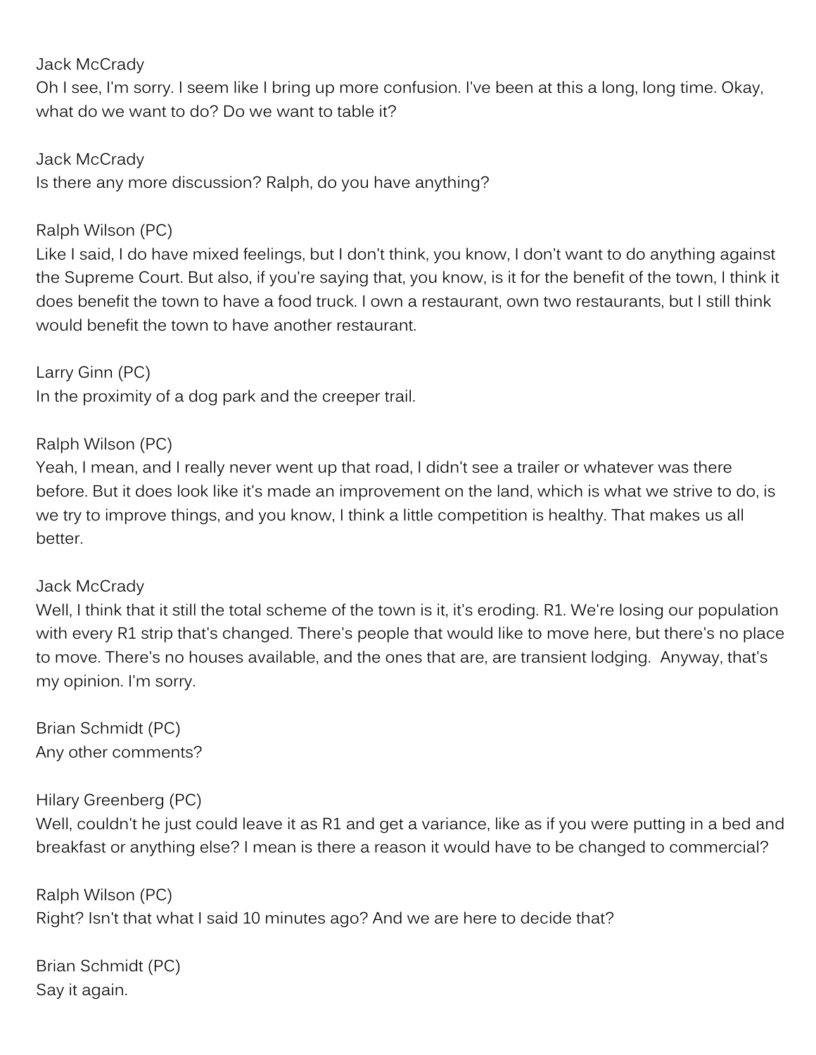### Jack McCrady

Oh I see, I'm sorry. I seem like I bring up more confusion. I've been at this a long, long time. Okay, what do we want to do? Do we want to table it?

Jack McCrady

Is there any more discussion? Ralph, do you have anything?

### Ralph Wilson (PC)

Like I said, I do have mixed feelings, but I don't think, you know, I don't want to do anything against the Supreme Court. But also, if you're saying that, you know, is it for the benefit of the town, I think it does benefit the town to have a food truck. I own a restaurant, own two restaurants, but I still think would benefit the town to have another restaurant.

Larry Ginn (PC) In the proximity of a dog park and the creeper trail.

#### Ralph Wilson (PC)

Yeah, I mean, and I really never went up that road, I didn't see a trailer or whatever was there before. But it does look like it's made an improvement on the land, which is what we strive to do, is we try to improve things, and you know, I think a little competition is healthy. That makes us all better.

### Jack McCrady

Well, I think that it still the total scheme of the town is it, it's eroding. R1. We're losing our population with every R1 strip that's changed. There's people that would like to move here, but there's no place to move. There's no houses available, and the ones that are, are transient lodging. Anyway, that's my opinion. I'm sorry.

Brian Schmidt (PC) Any other comments?

### Hilary Greenberg (PC)

Well, couldn't he just could leave it as R1 and get a variance, like as if you were putting in a bed and breakfast or anything else? I mean is there a reason it would have to be changed to commercial?

Ralph Wilson (PC) Right? Isn't that what I said 10 minutes ago? And we are here to decide that?

Brian Schmidt (PC) Say it again.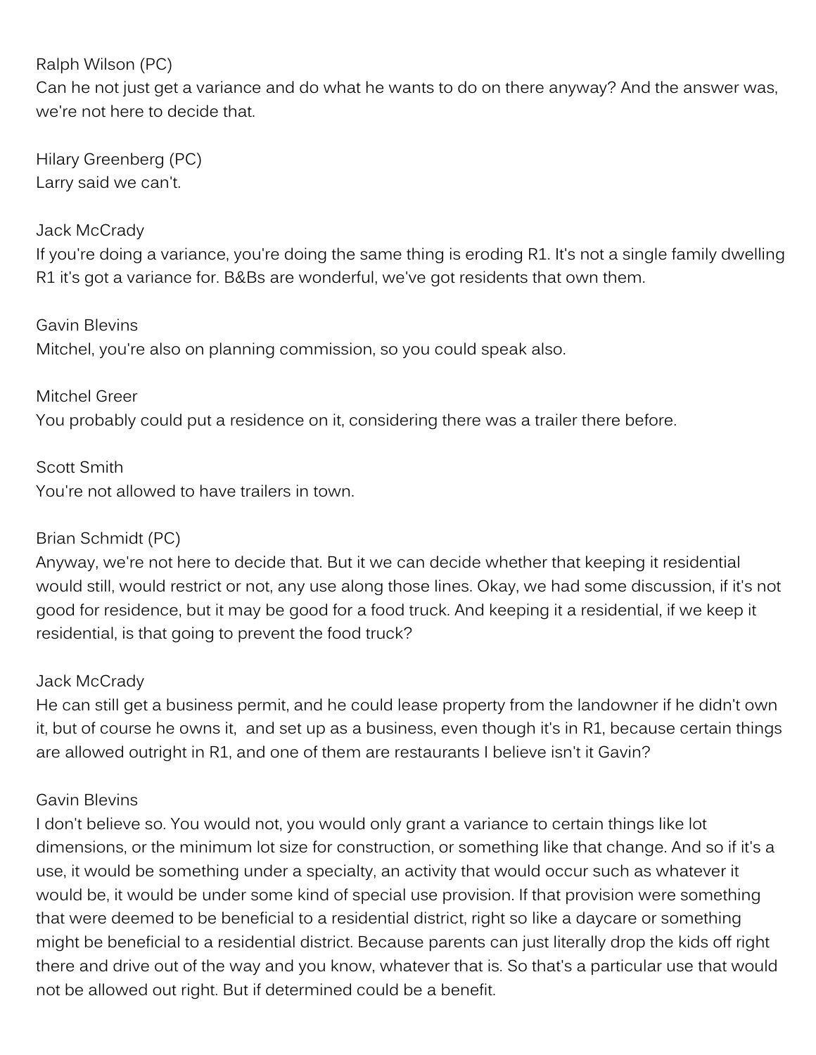Ralph Wilson (PC)

Can he not just get a variance and do what he wants to do on there anyway? And the answer was, we're not here to decide that.

Hilary Greenberg (PC) Larry said we can't.

### Jack McCrady

If you're doing a variance, you're doing the same thing is eroding R1. It's not a single family dwelling R1 it's got a variance for. B&Bs are wonderful, we've got residents that own them.

### Gavin Blevins

Mitchel, you're also on planning commission, so you could speak also.

Mitchel Greer You probably could put a residence on it, considering there was a trailer there before.

Scott Smith You're not allowed to have trailers in town.

### Brian Schmidt (PC)

Anyway, we're not here to decide that. But it we can decide whether that keeping it residential would still, would restrict or not, any use along those lines. Okay, we had some discussion, if it's not good for residence, but it may be good for a food truck. And keeping it a residential, if we keep it residential, is that going to prevent the food truck?

### Jack McCrady

He can still get a business permit, and he could lease property from the landowner if he didn't own it, but of course he owns it, and set up as a business, even though it's in R1, because certain things are allowed outright in R1, and one of them are restaurants I believe isn't it Gavin?

### Gavin Blevins

I don't believe so. You would not, you would only grant a variance to certain things like lot dimensions, or the minimum lot size for construction, or something like that change. And so if it's a use, it would be something under a specialty, an activity that would occur such as whatever it would be, it would be under some kind of special use provision. If that provision were something that were deemed to be beneficial to a residential district, right so like a daycare or something might be beneficial to a residential district. Because parents can just literally drop the kids off right there and drive out of the way and you know, whatever that is. So that's a particular use that would not be allowed out right. But if determined could be a benefit.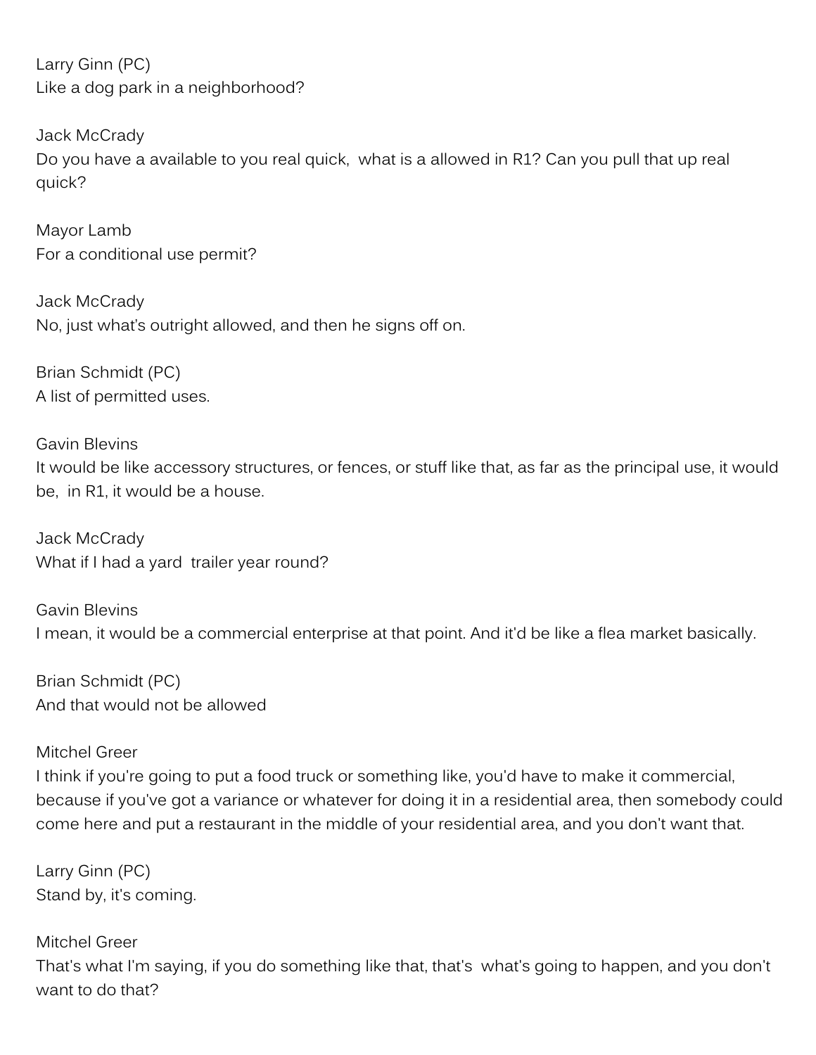Larry Ginn (PC) Like a dog park in a neighborhood?

Jack McCrady Do you have a available to you real quick, what is a allowed in R1? Can you pull that up real quick?

Mayor Lamb For a conditional use permit?

Jack McCrady No, just what's outright allowed, and then he signs off on.

Brian Schmidt (PC) A list of permitted uses.

Gavin Blevins It would be like accessory structures, or fences, or stuff like that, as far as the principal use, it would be, in R1, it would be a house.

Jack McCrady What if I had a yard trailer year round?

Gavin Blevins I mean, it would be a commercial enterprise at that point. And it'd be like a flea market basically.

Brian Schmidt (PC) And that would not be allowed

### Mitchel Greer

I think if you're going to put a food truck or something like, you'd have to make it commercial, because if you've got a variance or whatever for doing it in a residential area, then somebody could come here and put a restaurant in the middle of your residential area, and you don't want that.

Larry Ginn (PC) Stand by, it's coming.

Mitchel Greer That's what I'm saying, if you do something like that, that's what's going to happen, and you don't want to do that?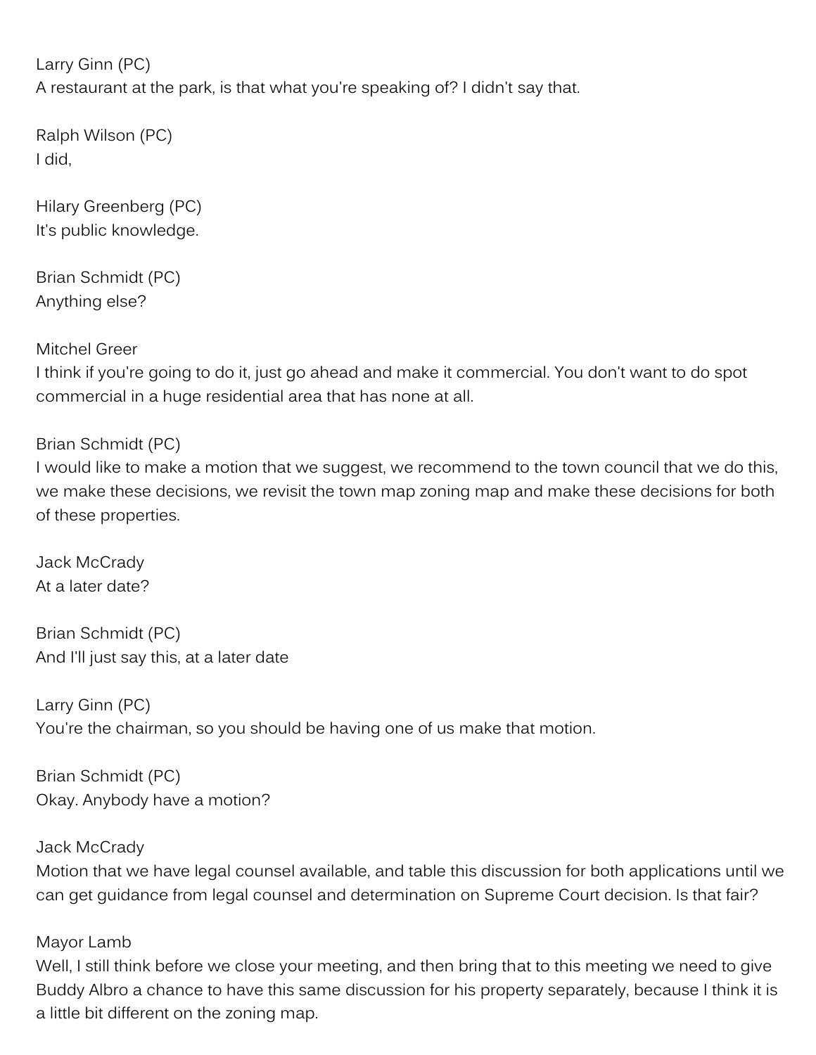Larry Ginn (PC) A restaurant at the park, is that what you're speaking of? I didn't say that.

Ralph Wilson (PC) I did,

Hilary Greenberg (PC) It's public knowledge.

Brian Schmidt (PC) Anything else?

Mitchel Greer

I think if you're going to do it, just go ahead and make it commercial. You don't want to do spot commercial in a huge residential area that has none at all.

Brian Schmidt (PC)

I would like to make a motion that we suggest, we recommend to the town council that we do this, we make these decisions, we revisit the town map zoning map and make these decisions for both of these properties.

Jack McCrady At a later date?

Brian Schmidt (PC) And I'll just say this, at a later date

Larry Ginn (PC) You're the chairman, so you should be having one of us make that motion.

Brian Schmidt (PC) Okay. Anybody have a motion?

Jack McCrady Motion that we have legal counsel available, and table this discussion for both applications until we can get guidance from legal counsel and determination on Supreme Court decision. Is that fair?

### Mayor Lamb

Well, I still think before we close your meeting, and then bring that to this meeting we need to give Buddy Albro a chance to have this same discussion for his property separately, because I think it is a little bit different on the zoning map.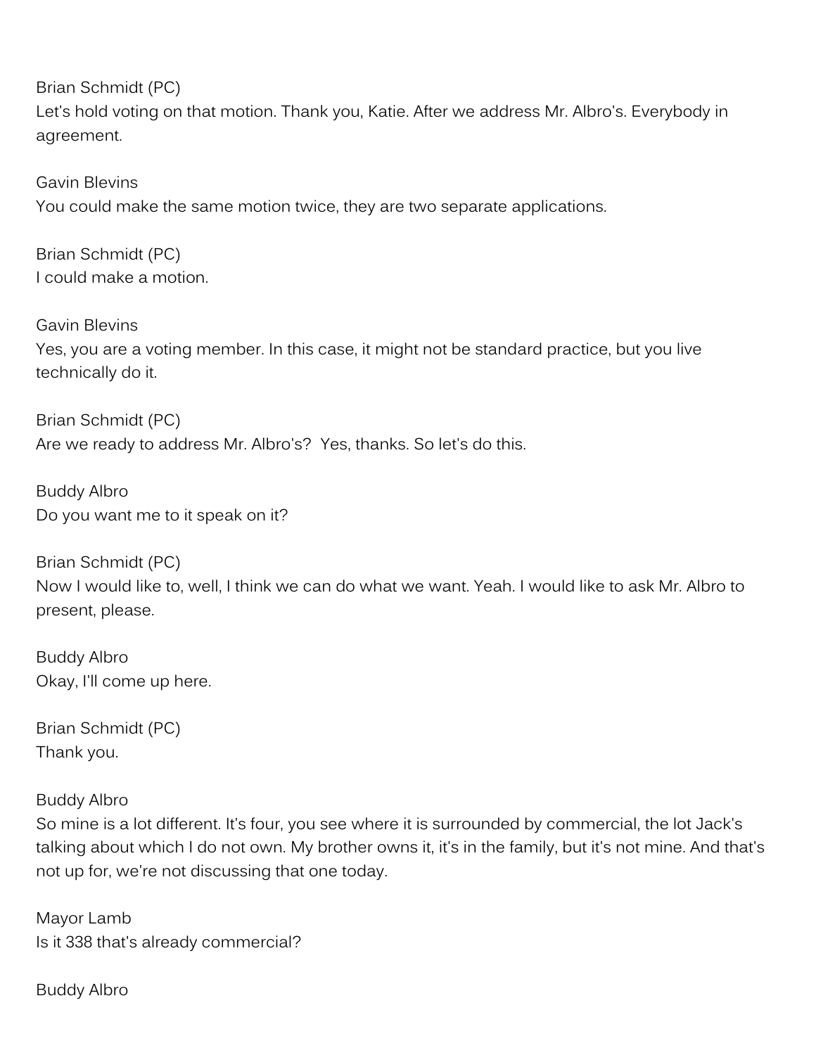Brian Schmidt (PC) Let's hold voting on that motion. Thank you, Katie. After we address Mr. Albro's. Everybody in agreement.

Gavin Blevins You could make the same motion twice, they are two separate applications.

Brian Schmidt (PC) I could make a motion.

Gavin Blevins Yes, you are a voting member. In this case, it might not be standard practice, but you live technically do it.

Brian Schmidt (PC) Are we ready to address Mr. Albro's? Yes, thanks. So let's do this.

Buddy Albro Do you want me to it speak on it?

Brian Schmidt (PC) Now I would like to, well, I think we can do what we want. Yeah. I would like to ask Mr. Albro to present, please.

Buddy Albro Okay, I'll come up here.

Brian Schmidt (PC) Thank you.

Buddy Albro

So mine is a lot different. It's four, you see where it is surrounded by commercial, the lot Jack's talking about which I do not own. My brother owns it, it's in the family, but it's not mine. And that's not up for, we're not discussing that one today.

Mayor Lamb Is it 338 that's already commercial?

Buddy Albro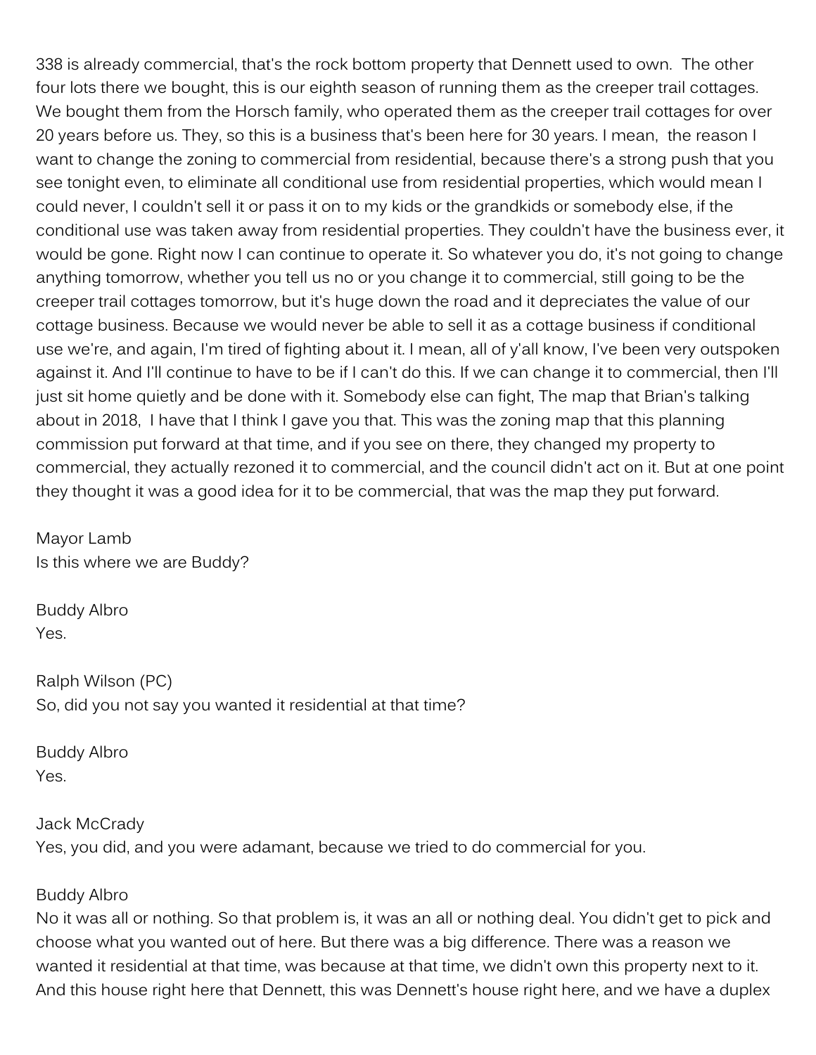338 is already commercial, that's the rock bottom property that Dennett used to own. The other four lots there we bought, this is our eighth season of running them as the creeper trail cottages. We bought them from the Horsch family, who operated them as the creeper trail cottages for over 20 years before us. They, so this is a business that's been here for 30 years. I mean, the reason I want to change the zoning to commercial from residential, because there's a strong push that you see tonight even, to eliminate all conditional use from residential properties, which would mean I could never, I couldn't sell it or pass it on to my kids or the grandkids or somebody else, if the conditional use was taken away from residential properties. They couldn't have the business ever, it would be gone. Right now I can continue to operate it. So whatever you do, it's not going to change anything tomorrow, whether you tell us no or you change it to commercial, still going to be the creeper trail cottages tomorrow, but it's huge down the road and it depreciates the value of our cottage business. Because we would never be able to sell it as a cottage business if conditional use we're, and again, I'm tired of fighting about it. I mean, all of y'all know, I've been very outspoken against it. And I'll continue to have to be if I can't do this. If we can change it to commercial, then I'll just sit home quietly and be done with it. Somebody else can fight, The map that Brian's talking about in 2018, I have that I think I gave you that. This was the zoning map that this planning commission put forward at that time, and if you see on there, they changed my property to commercial, they actually rezoned it to commercial, and the council didn't act on it. But at one point they thought it was a good idea for it to be commercial, that was the map they put forward.

Mayor Lamb Is this where we are Buddy?

Buddy Albro Yes.

Ralph Wilson (PC) So, did you not say you wanted it residential at that time?

Buddy Albro Yes.

## Jack McCrady Yes, you did, and you were adamant, because we tried to do commercial for you.

### Buddy Albro

No it was all or nothing. So that problem is, it was an all or nothing deal. You didn't get to pick and choose what you wanted out of here. But there was a big difference. There was a reason we wanted it residential at that time, was because at that time, we didn't own this property next to it. And this house right here that Dennett, this was Dennett's house right here, and we have a duplex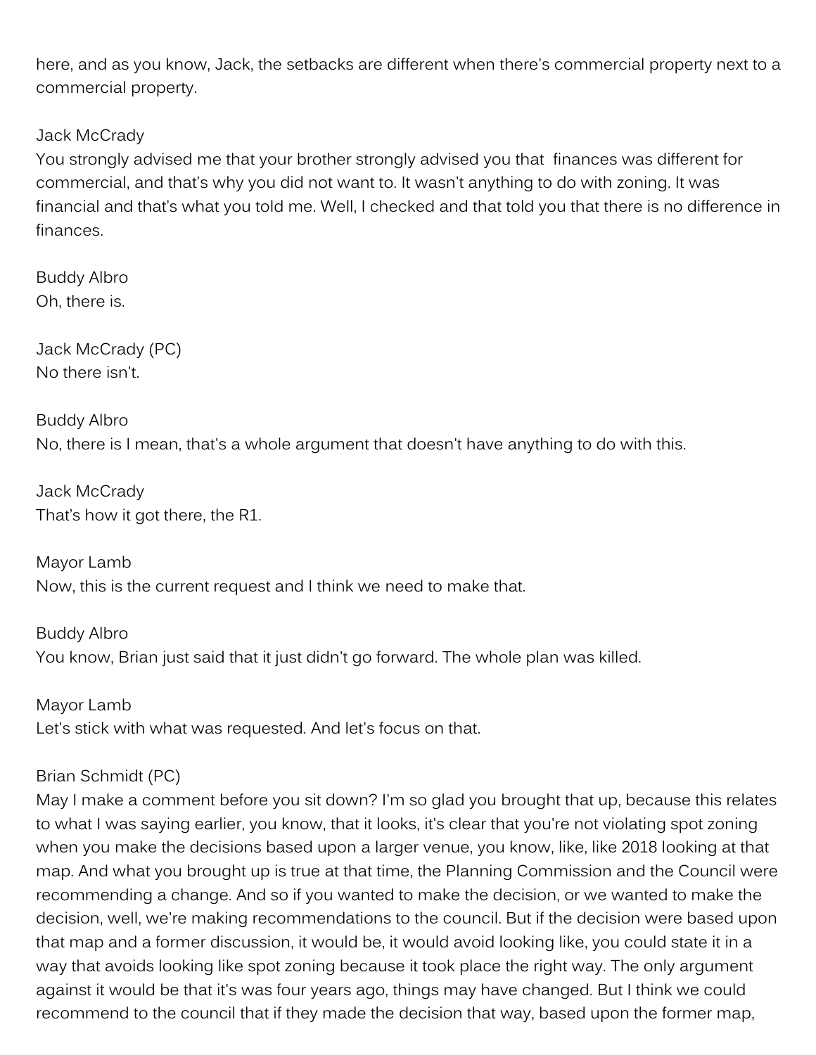here, and as you know, Jack, the setbacks are different when there's commercial property next to a commercial property.

### Jack McCrady

You strongly advised me that your brother strongly advised you that finances was different for commercial, and that's why you did not want to. It wasn't anything to do with zoning. It was financial and that's what you told me. Well, I checked and that told you that there is no difference in finances.

Buddy Albro Oh, there is.

Jack McCrady (PC) No there isn't.

Buddy Albro No, there is I mean, that's a whole argument that doesn't have anything to do with this.

Jack McCrady That's how it got there, the R1.

Mayor Lamb Now, this is the current request and I think we need to make that.

Buddy Albro You know, Brian just said that it just didn't go forward. The whole plan was killed.

Mayor Lamb Let's stick with what was requested. And let's focus on that.

### Brian Schmidt (PC)

May I make a comment before you sit down? I'm so glad you brought that up, because this relates to what I was saying earlier, you know, that it looks, it's clear that you're not violating spot zoning when you make the decisions based upon a larger venue, you know, like, like 2018 looking at that map. And what you brought up is true at that time, the Planning Commission and the Council were recommending a change. And so if you wanted to make the decision, or we wanted to make the decision, well, we're making recommendations to the council. But if the decision were based upon that map and a former discussion, it would be, it would avoid looking like, you could state it in a way that avoids looking like spot zoning because it took place the right way. The only argument against it would be that it's was four years ago, things may have changed. But I think we could recommend to the council that if they made the decision that way, based upon the former map,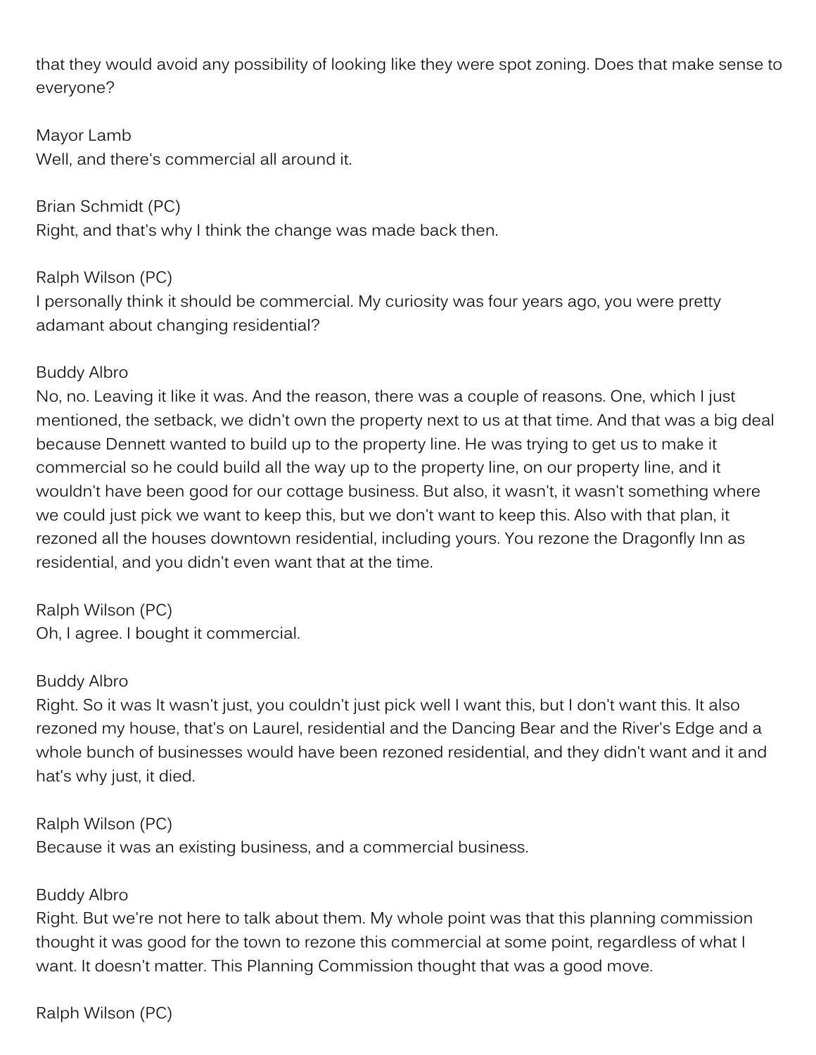that they would avoid any possibility of looking like they were spot zoning. Does that make sense to everyone?

Mayor Lamb Well, and there's commercial all around it.

Brian Schmidt (PC) Right, and that's why I think the change was made back then.

Ralph Wilson (PC) I personally think it should be commercial. My curiosity was four years ago, you were pretty adamant about changing residential?

### Buddy Albro

No, no. Leaving it like it was. And the reason, there was a couple of reasons. One, which I just mentioned, the setback, we didn't own the property next to us at that time. And that was a big deal because Dennett wanted to build up to the property line. He was trying to get us to make it commercial so he could build all the way up to the property line, on our property line, and it wouldn't have been good for our cottage business. But also, it wasn't, it wasn't something where we could just pick we want to keep this, but we don't want to keep this. Also with that plan, it rezoned all the houses downtown residential, including yours. You rezone the Dragonfly Inn as residential, and you didn't even want that at the time.

Ralph Wilson (PC) Oh, I agree. I bought it commercial.

### Buddy Albro

Right. So it was It wasn't just, you couldn't just pick well I want this, but I don't want this. It also rezoned my house, that's on Laurel, residential and the Dancing Bear and the River's Edge and a whole bunch of businesses would have been rezoned residential, and they didn't want and it and hat's why just, it died.

## Ralph Wilson (PC)

Because it was an existing business, and a commercial business.

## Buddy Albro

Right. But we're not here to talk about them. My whole point was that this planning commission thought it was good for the town to rezone this commercial at some point, regardless of what I want. It doesn't matter. This Planning Commission thought that was a good move.

Ralph Wilson (PC)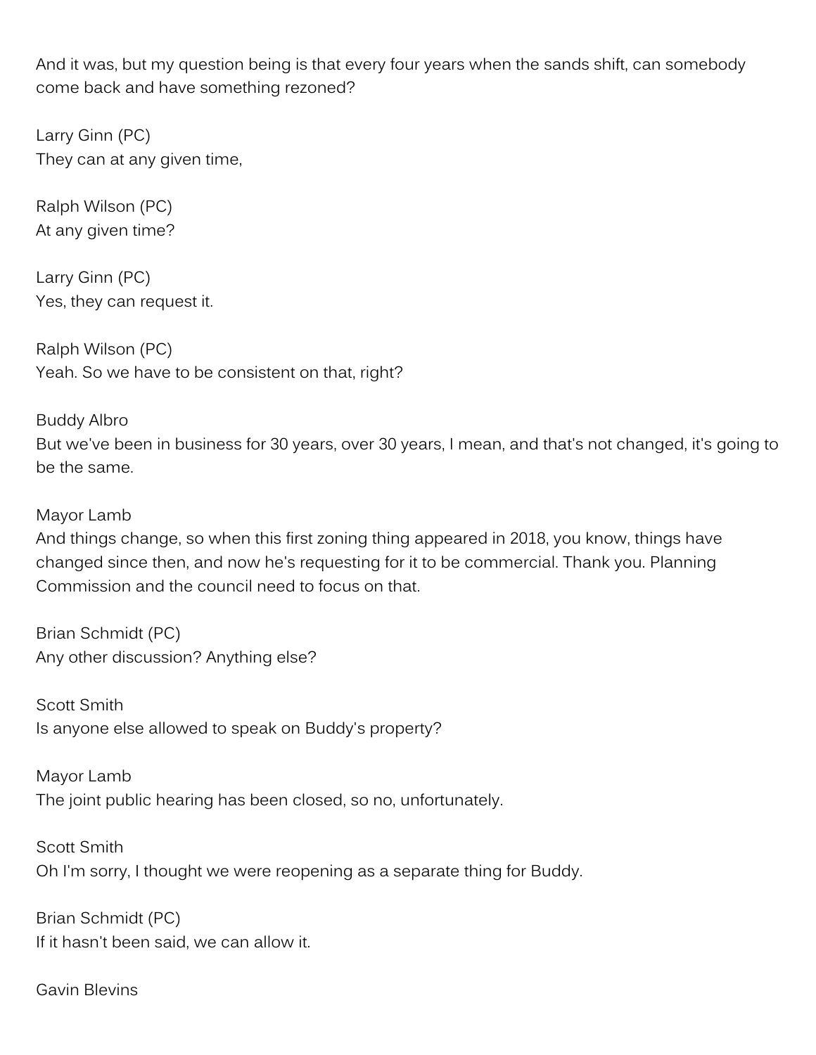And it was, but my question being is that every four years when the sands shift, can somebody come back and have something rezoned?

Larry Ginn (PC) They can at any given time,

Ralph Wilson (PC) At any given time?

Larry Ginn (PC) Yes, they can request it.

Ralph Wilson (PC) Yeah. So we have to be consistent on that, right?

Buddy Albro But we've been in business for 30 years, over 30 years, I mean, and that's not changed, it's going to be the same.

Mayor Lamb

And things change, so when this first zoning thing appeared in 2018, you know, things have changed since then, and now he's requesting for it to be commercial. Thank you. Planning Commission and the council need to focus on that.

Brian Schmidt (PC) Any other discussion? Anything else?

Scott Smith Is anyone else allowed to speak on Buddy's property?

Mayor Lamb The joint public hearing has been closed, so no, unfortunately.

Scott Smith Oh I'm sorry, I thought we were reopening as a separate thing for Buddy.

Brian Schmidt (PC) If it hasn't been said, we can allow it.

Gavin Blevins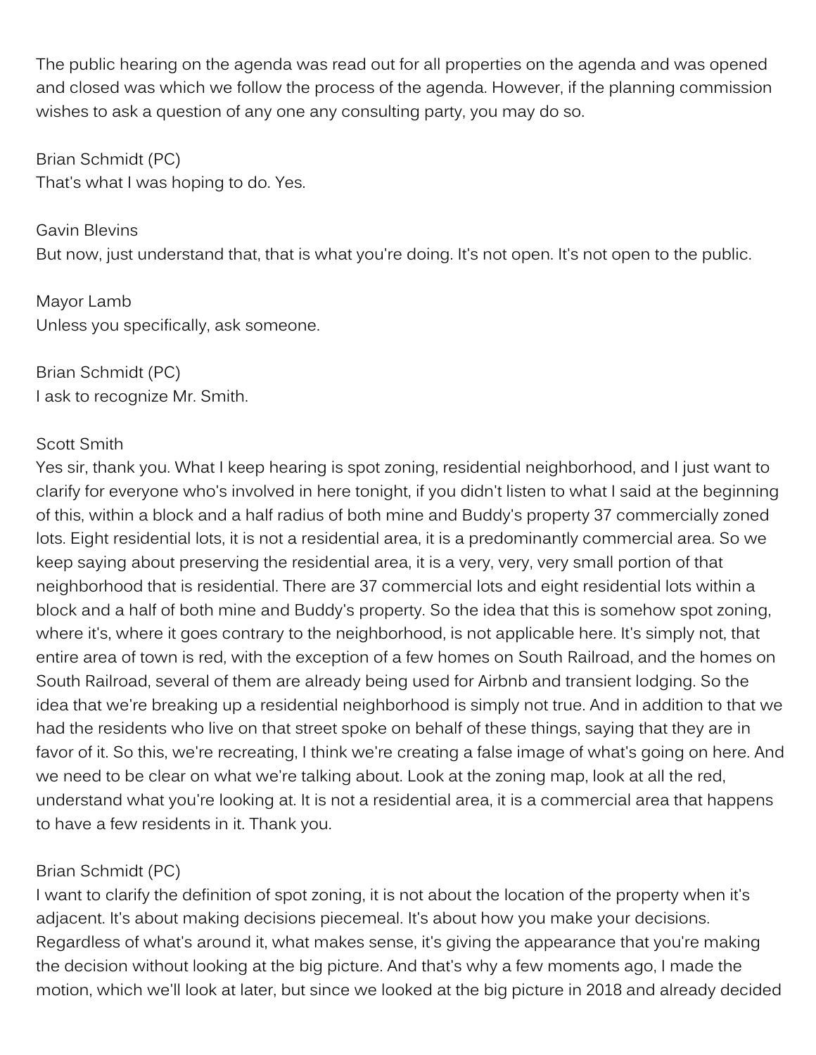The public hearing on the agenda was read out for all properties on the agenda and was opened and closed was which we follow the process of the agenda. However, if the planning commission wishes to ask a question of any one any consulting party, you may do so.

Brian Schmidt (PC) That's what I was hoping to do. Yes.

Gavin Blevins But now, just understand that, that is what you're doing. It's not open. It's not open to the public.

Mayor Lamb Unless you specifically, ask someone.

Brian Schmidt (PC) I ask to recognize Mr. Smith.

### Scott Smith

Yes sir, thank you. What I keep hearing is spot zoning, residential neighborhood, and I just want to clarify for everyone who's involved in here tonight, if you didn't listen to what I said at the beginning of this, within a block and a half radius of both mine and Buddy's property 37 commercially zoned lots. Eight residential lots, it is not a residential area, it is a predominantly commercial area. So we keep saying about preserving the residential area, it is a very, very, very small portion of that neighborhood that is residential. There are 37 commercial lots and eight residential lots within a block and a half of both mine and Buddy's property. So the idea that this is somehow spot zoning, where it's, where it goes contrary to the neighborhood, is not applicable here. It's simply not, that entire area of town is red, with the exception of a few homes on South Railroad, and the homes on South Railroad, several of them are already being used for Airbnb and transient lodging. So the idea that we're breaking up a residential neighborhood is simply not true. And in addition to that we had the residents who live on that street spoke on behalf of these things, saying that they are in favor of it. So this, we're recreating, I think we're creating a false image of what's going on here. And we need to be clear on what we're talking about. Look at the zoning map, look at all the red, understand what you're looking at. It is not a residential area, it is a commercial area that happens to have a few residents in it. Thank you.

## Brian Schmidt (PC)

I want to clarify the definition of spot zoning, it is not about the location of the property when it's adjacent. It's about making decisions piecemeal. It's about how you make your decisions. Regardless of what's around it, what makes sense, it's giving the appearance that you're making the decision without looking at the big picture. And that's why a few moments ago, I made the motion, which we'll look at later, but since we looked at the big picture in 2018 and already decided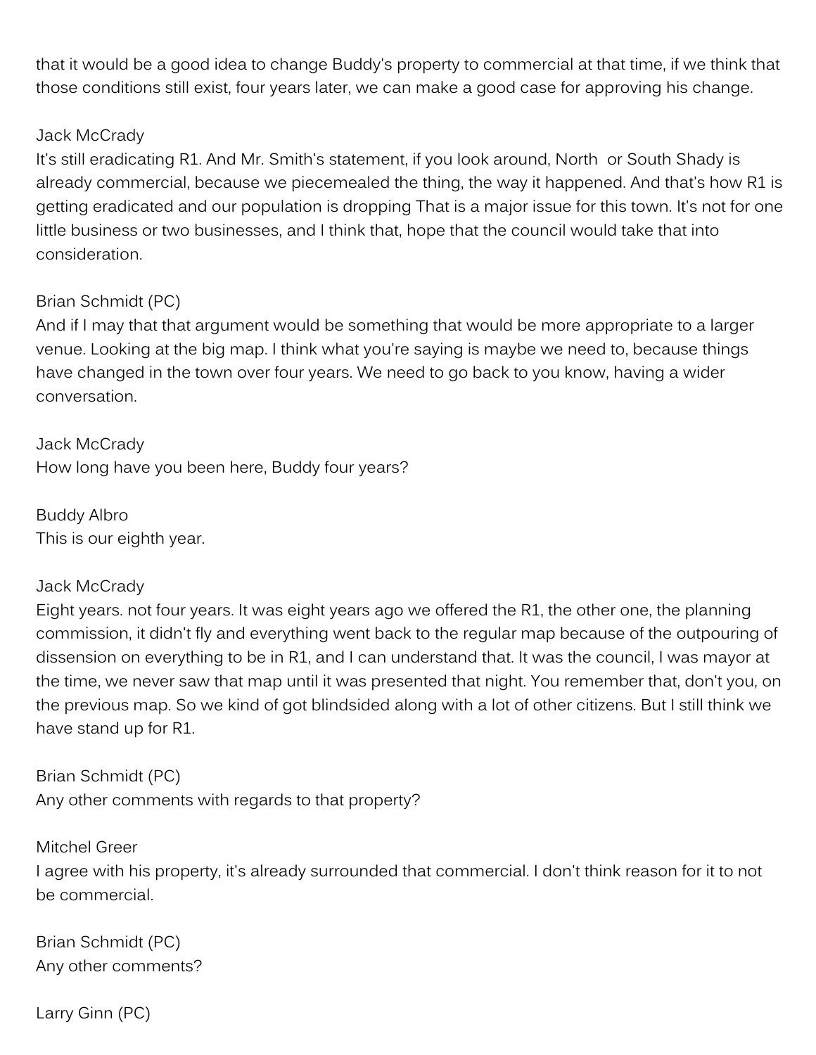that it would be a good idea to change Buddy's property to commercial at that time, if we think that those conditions still exist, four years later, we can make a good case for approving his change.

#### Jack McCrady

It's still eradicating R1. And Mr. Smith's statement, if you look around, North or South Shady is already commercial, because we piecemealed the thing, the way it happened. And that's how R1 is getting eradicated and our population is dropping That is a major issue for this town. It's not for one little business or two businesses, and I think that, hope that the council would take that into consideration.

### Brian Schmidt (PC)

And if I may that that argument would be something that would be more appropriate to a larger venue. Looking at the big map. I think what you're saying is maybe we need to, because things have changed in the town over four years. We need to go back to you know, having a wider conversation.

Jack McCrady How long have you been here, Buddy four years?

Buddy Albro This is our eighth year.

### Jack McCrady

Eight years. not four years. It was eight years ago we offered the R1, the other one, the planning commission, it didn't fly and everything went back to the regular map because of the outpouring of dissension on everything to be in R1, and I can understand that. It was the council, I was mayor at the time, we never saw that map until it was presented that night. You remember that, don't you, on the previous map. So we kind of got blindsided along with a lot of other citizens. But I still think we have stand up for R1.

Brian Schmidt (PC) Any other comments with regards to that property?

Mitchel Greer I agree with his property, it's already surrounded that commercial. I don't think reason for it to not be commercial.

Brian Schmidt (PC) Any other comments?

Larry Ginn (PC)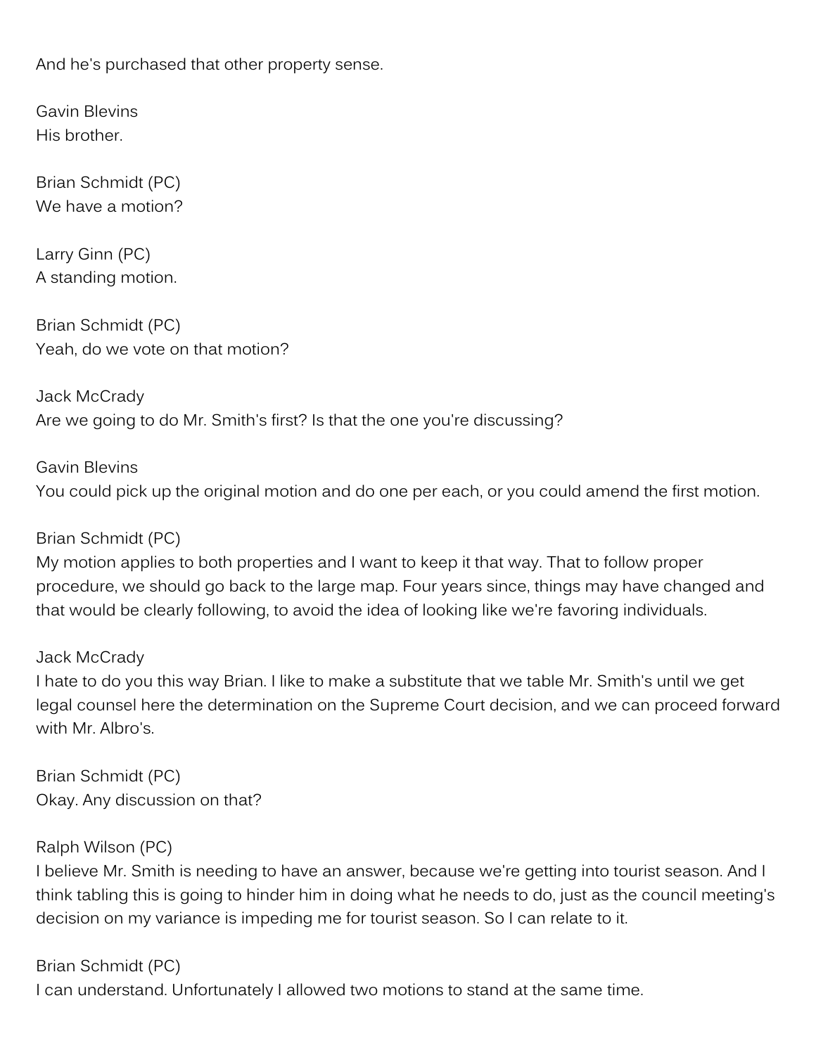And he's purchased that other property sense.

Gavin Blevins His brother.

Brian Schmidt (PC) We have a motion?

Larry Ginn (PC) A standing motion.

Brian Schmidt (PC) Yeah, do we vote on that motion?

Jack McCrady Are we going to do Mr. Smith's first? Is that the one you're discussing?

Gavin Blevins You could pick up the original motion and do one per each, or you could amend the first motion.

### Brian Schmidt (PC)

My motion applies to both properties and I want to keep it that way. That to follow proper procedure, we should go back to the large map. Four years since, things may have changed and that would be clearly following, to avoid the idea of looking like we're favoring individuals.

#### Jack McCrady

I hate to do you this way Brian. I like to make a substitute that we table Mr. Smith's until we get legal counsel here the determination on the Supreme Court decision, and we can proceed forward with Mr. Albro's

Brian Schmidt (PC) Okay. Any discussion on that?

#### Ralph Wilson (PC)

I believe Mr. Smith is needing to have an answer, because we're getting into tourist season. And I think tabling this is going to hinder him in doing what he needs to do, just as the council meeting's decision on my variance is impeding me for tourist season. So I can relate to it.

Brian Schmidt (PC)

I can understand. Unfortunately I allowed two motions to stand at the same time.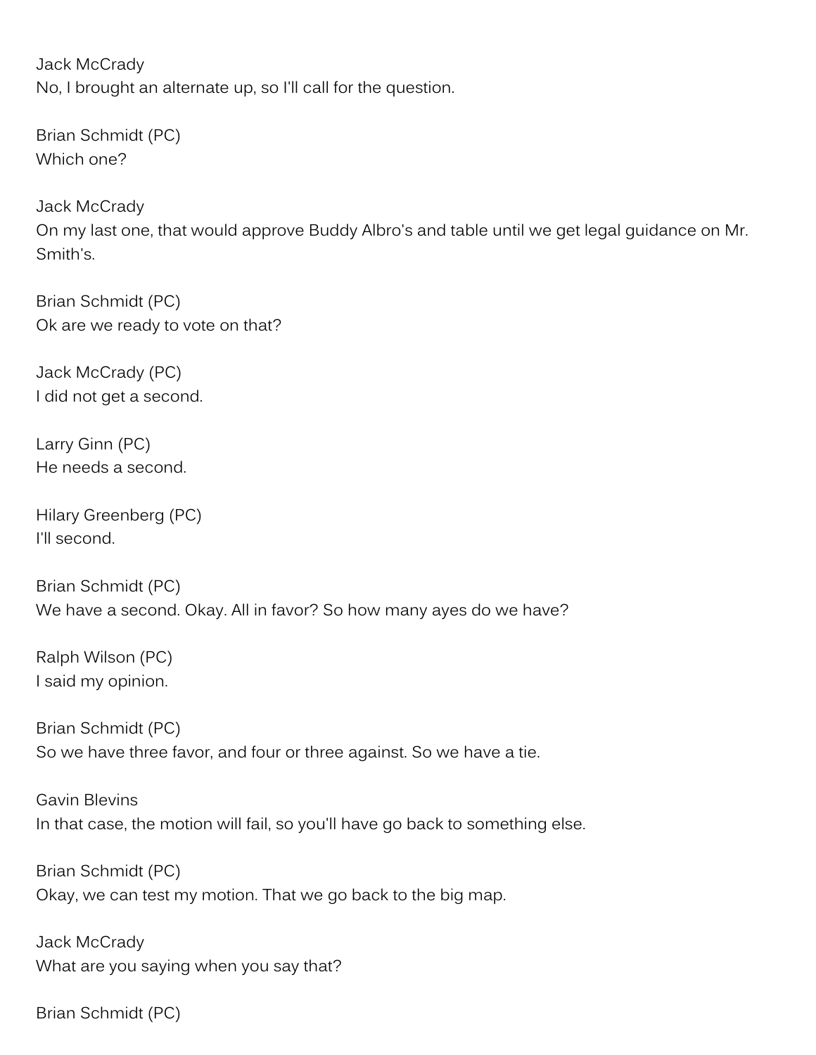Jack McCrady No, I brought an alternate up, so I'll call for the question.

Brian Schmidt (PC) Which one?

Jack McCrady On my last one, that would approve Buddy Albro's and table until we get legal guidance on Mr. Smith's.

Brian Schmidt (PC) Ok are we ready to vote on that?

Jack McCrady (PC) I did not get a second.

Larry Ginn (PC) He needs a second.

Hilary Greenberg (PC) I'll second.

Brian Schmidt (PC) We have a second. Okay. All in favor? So how many ayes do we have?

Ralph Wilson (PC) I said my opinion.

Brian Schmidt (PC) So we have three favor, and four or three against. So we have a tie.

Gavin Blevins In that case, the motion will fail, so you'll have go back to something else.

Brian Schmidt (PC) Okay, we can test my motion. That we go back to the big map.

Jack McCrady What are you saying when you say that?

Brian Schmidt (PC)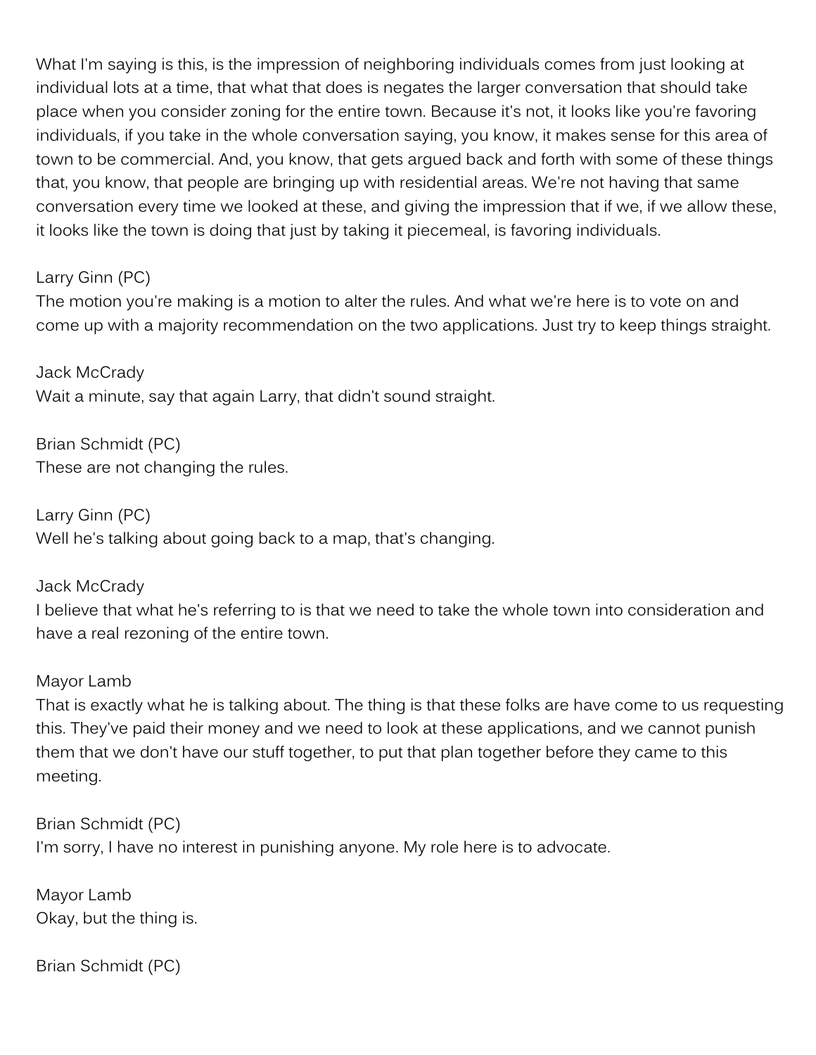What I'm saying is this, is the impression of neighboring individuals comes from just looking at individual lots at a time, that what that does is negates the larger conversation that should take place when you consider zoning for the entire town. Because it's not, it looks like you're favoring individuals, if you take in the whole conversation saying, you know, it makes sense for this area of town to be commercial. And, you know, that gets argued back and forth with some of these things that, you know, that people are bringing up with residential areas. We're not having that same conversation every time we looked at these, and giving the impression that if we, if we allow these, it looks like the town is doing that just by taking it piecemeal, is favoring individuals.

### Larry Ginn (PC)

The motion you're making is a motion to alter the rules. And what we're here is to vote on and come up with a majority recommendation on the two applications. Just try to keep things straight.

Jack McCrady Wait a minute, say that again Larry, that didn't sound straight.

Brian Schmidt (PC) These are not changing the rules.

Larry Ginn (PC) Well he's talking about going back to a map, that's changing.

### Jack McCrady

I believe that what he's referring to is that we need to take the whole town into consideration and have a real rezoning of the entire town.

#### Mayor Lamb

That is exactly what he is talking about. The thing is that these folks are have come to us requesting this. They've paid their money and we need to look at these applications, and we cannot punish them that we don't have our stuff together, to put that plan together before they came to this meeting.

Brian Schmidt (PC) I'm sorry, I have no interest in punishing anyone. My role here is to advocate.

Mayor Lamb Okay, but the thing is.

Brian Schmidt (PC)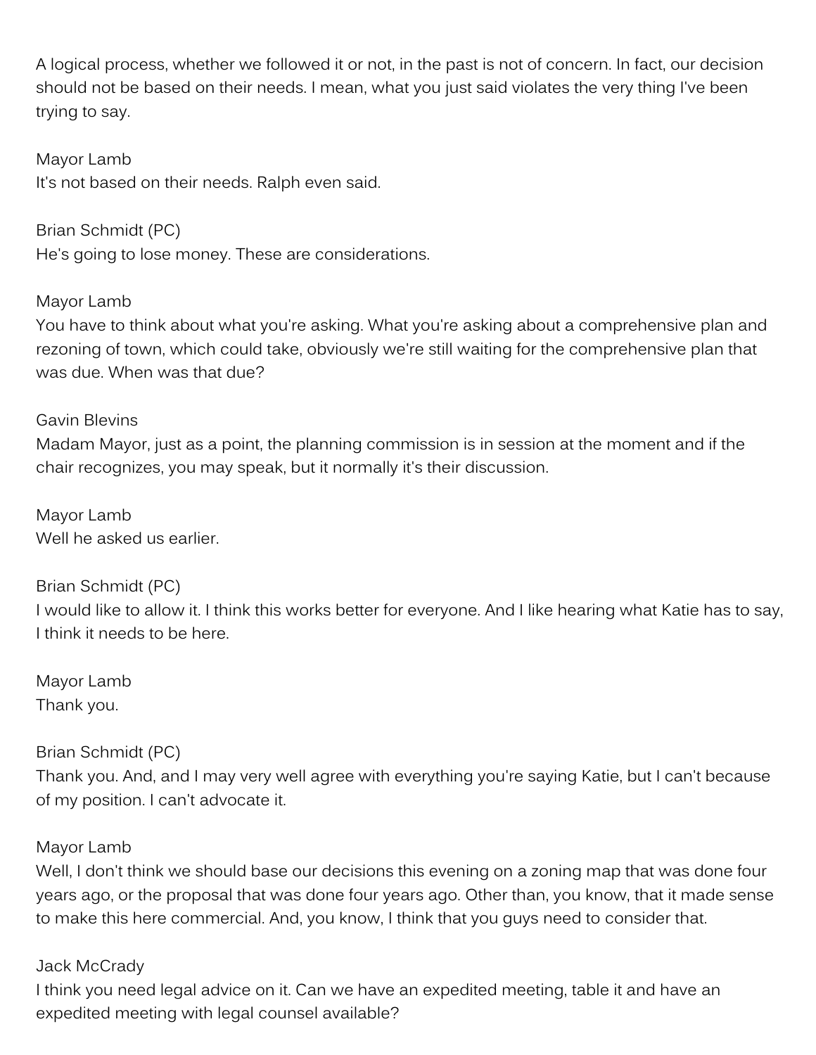A logical process, whether we followed it or not, in the past is not of concern. In fact, our decision should not be based on their needs. I mean, what you just said violates the very thing I've been trying to say.

### Mayor Lamb

It's not based on their needs. Ralph even said.

Brian Schmidt (PC) He's going to lose money. These are considerations.

### Mayor Lamb

You have to think about what you're asking. What you're asking about a comprehensive plan and rezoning of town, which could take, obviously we're still waiting for the comprehensive plan that was due. When was that due?

# Gavin Blevins Madam Mayor, just as a point, the planning commission is in session at the moment and if the chair recognizes, you may speak, but it normally it's their discussion.

Mayor Lamb Well he asked us earlier.

Brian Schmidt (PC) I would like to allow it. I think this works better for everyone. And I like hearing what Katie has to say, I think it needs to be here.

Mayor Lamb Thank you.

## Brian Schmidt (PC)

Thank you. And, and I may very well agree with everything you're saying Katie, but I can't because of my position. I can't advocate it.

### Mayor Lamb

Well, I don't think we should base our decisions this evening on a zoning map that was done four years ago, or the proposal that was done four years ago. Other than, you know, that it made sense to make this here commercial. And, you know, I think that you guys need to consider that.

#### Jack McCrady

I think you need legal advice on it. Can we have an expedited meeting, table it and have an expedited meeting with legal counsel available?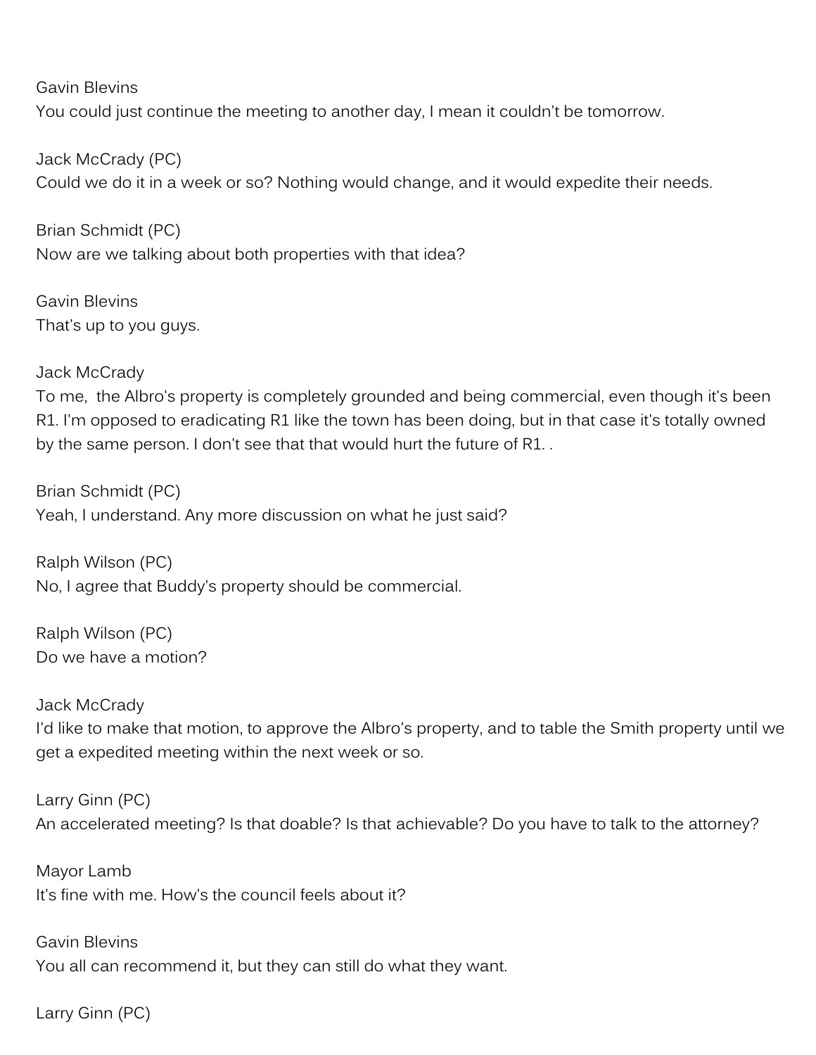Gavin Blevins

You could just continue the meeting to another day, I mean it couldn't be tomorrow.

Jack McCrady (PC) Could we do it in a week or so? Nothing would change, and it would expedite their needs.

Brian Schmidt (PC) Now are we talking about both properties with that idea?

Gavin Blevins That's up to you guys.

Jack McCrady To me, the Albro's property is completely grounded and being commercial, even though it's been R1. I'm opposed to eradicating R1 like the town has been doing, but in that case it's totally owned by the same person. I don't see that that would hurt the future of R1. .

Brian Schmidt (PC) Yeah, I understand. Any more discussion on what he just said?

Ralph Wilson (PC) No, I agree that Buddy's property should be commercial.

Ralph Wilson (PC) Do we have a motion?

Jack McCrady I'd like to make that motion, to approve the Albro's property, and to table the Smith property until we get a expedited meeting within the next week or so.

Larry Ginn (PC) An accelerated meeting? Is that doable? Is that achievable? Do you have to talk to the attorney?

Mayor Lamb It's fine with me. How's the council feels about it?

Gavin Blevins You all can recommend it, but they can still do what they want.

Larry Ginn (PC)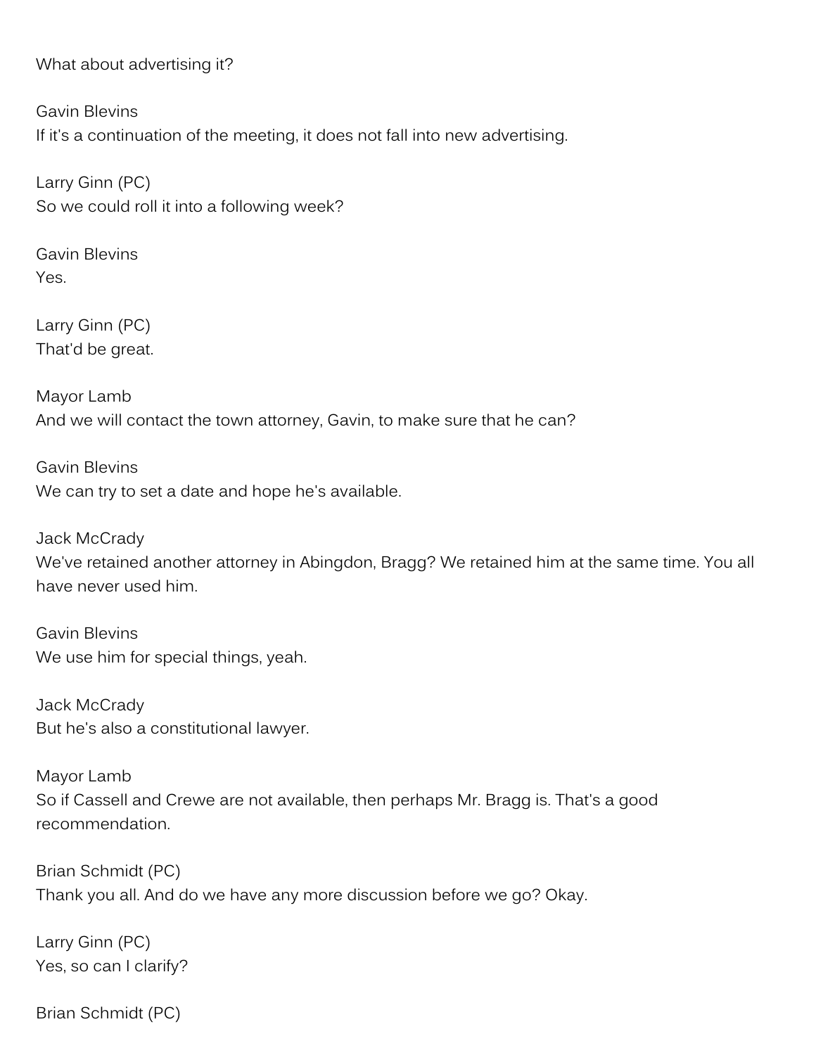What about advertising it?

Gavin Blevins If it's a continuation of the meeting, it does not fall into new advertising.

Larry Ginn (PC) So we could roll it into a following week?

Gavin Blevins Yes.

Larry Ginn (PC) That'd be great.

Mayor Lamb And we will contact the town attorney, Gavin, to make sure that he can?

Gavin Blevins We can try to set a date and hope he's available.

Jack McCrady We've retained another attorney in Abingdon, Bragg? We retained him at the same time. You all have never used him.

Gavin Blevins We use him for special things, yeah.

Jack McCrady But he's also a constitutional lawyer.

Mayor Lamb So if Cassell and Crewe are not available, then perhaps Mr. Bragg is. That's a good recommendation.

Brian Schmidt (PC) Thank you all. And do we have any more discussion before we go? Okay.

Larry Ginn (PC) Yes, so can I clarify?

Brian Schmidt (PC)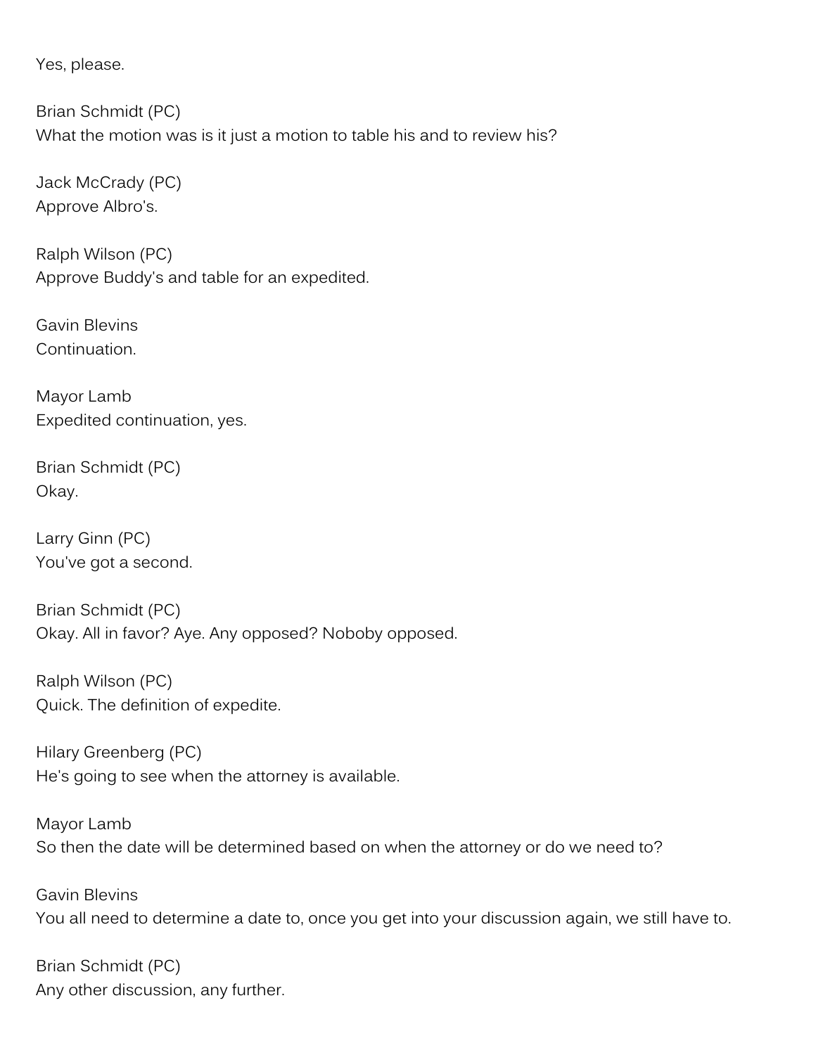Yes, please.

Brian Schmidt (PC) What the motion was is it just a motion to table his and to review his?

Jack McCrady (PC) Approve Albro's.

Ralph Wilson (PC) Approve Buddy's and table for an expedited.

Gavin Blevins Continuation.

Mayor Lamb Expedited continuation, yes.

Brian Schmidt (PC) Okay.

Larry Ginn (PC) You've got a second.

Brian Schmidt (PC) Okay. All in favor? Aye. Any opposed? Noboby opposed.

Ralph Wilson (PC) Quick. The definition of expedite.

Hilary Greenberg (PC) He's going to see when the attorney is available.

Mayor Lamb So then the date will be determined based on when the attorney or do we need to?

Gavin Blevins You all need to determine a date to, once you get into your discussion again, we still have to.

Brian Schmidt (PC) Any other discussion, any further.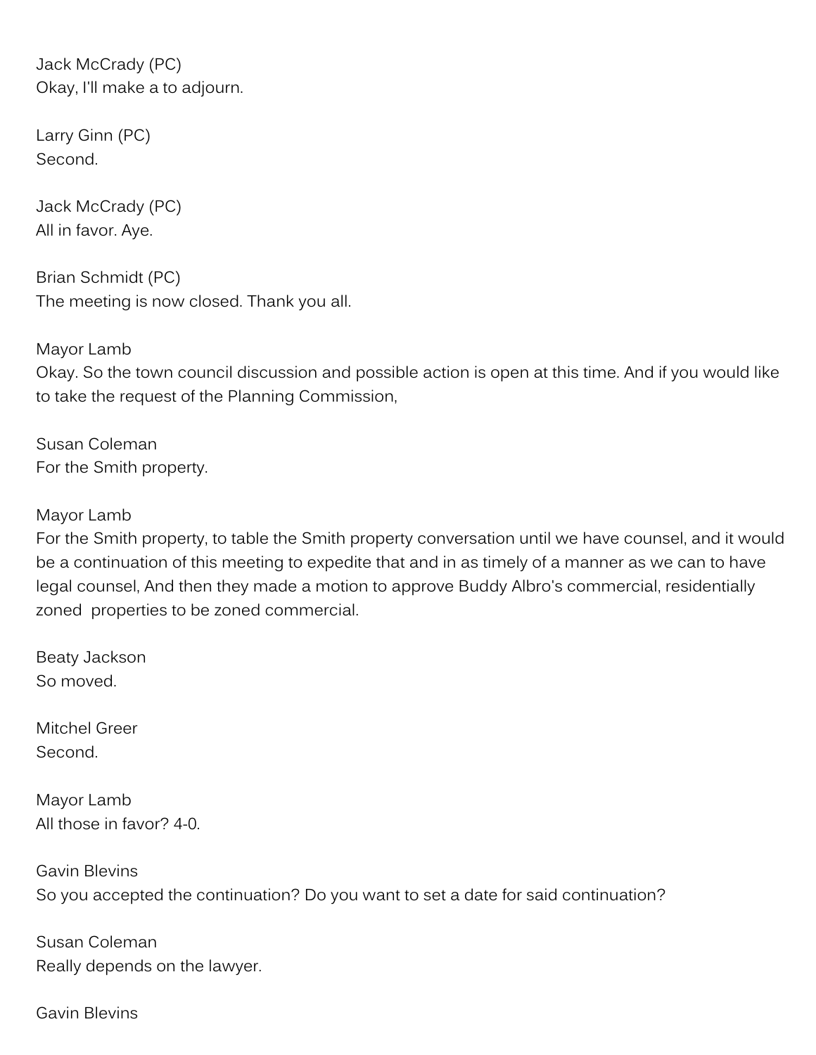Jack McCrady (PC) Okay, I'll make a to adjourn.

Larry Ginn (PC) Second.

Jack McCrady (PC) All in favor. Aye.

Brian Schmidt (PC) The meeting is now closed. Thank you all.

Mayor Lamb Okay. So the town council discussion and possible action is open at this time. And if you would like to take the request of the Planning Commission,

Susan Coleman For the Smith property.

Mayor Lamb

For the Smith property, to table the Smith property conversation until we have counsel, and it would be a continuation of this meeting to expedite that and in as timely of a manner as we can to have legal counsel, And then they made a motion to approve Buddy Albro's commercial, residentially zoned properties to be zoned commercial.

Beaty Jackson So moved.

Mitchel Greer Second.

Mayor Lamb All those in favor? 4-0.

Gavin Blevins So you accepted the continuation? Do you want to set a date for said continuation?

Susan Coleman Really depends on the lawyer.

Gavin Blevins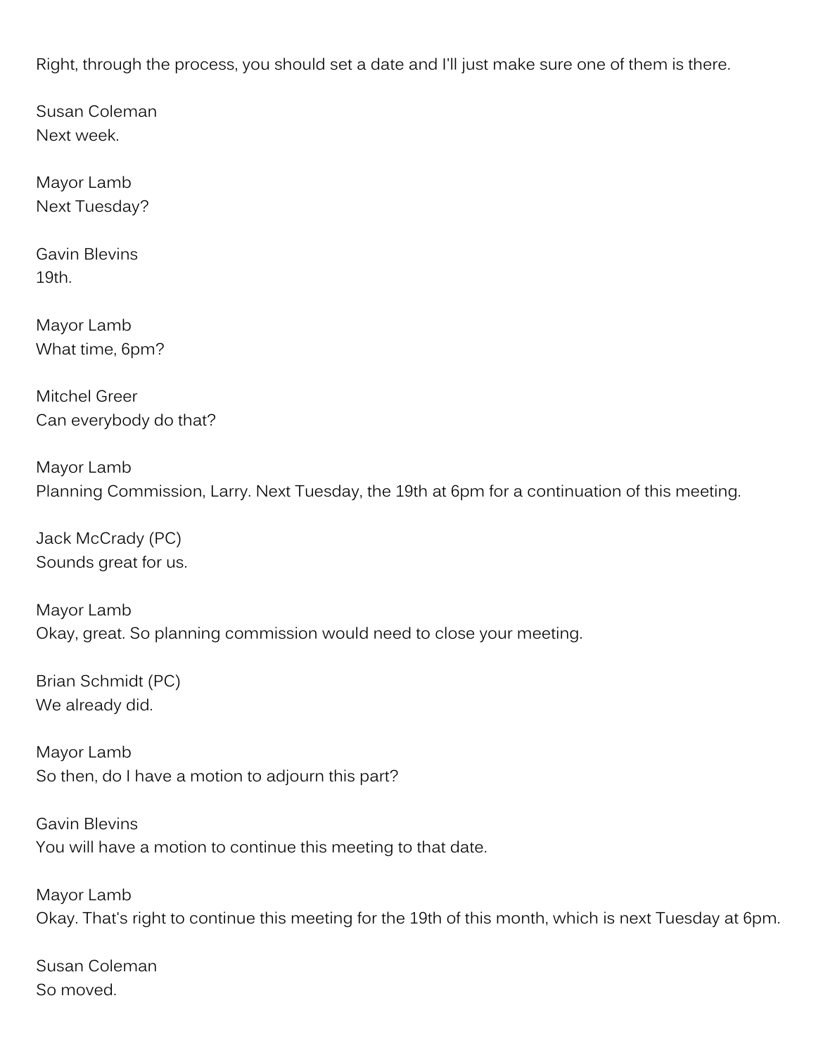Right, through the process, you should set a date and I'll just make sure one of them is there.

Susan Coleman Next week.

Mayor Lamb Next Tuesday?

Gavin Blevins 19th.

Mayor Lamb What time, 6pm?

Mitchel Greer Can everybody do that?

Mayor Lamb Planning Commission, Larry. Next Tuesday, the 19th at 6pm for a continuation of this meeting.

Jack McCrady (PC) Sounds great for us.

Mayor Lamb Okay, great. So planning commission would need to close your meeting.

Brian Schmidt (PC) We already did.

Mayor Lamb So then, do I have a motion to adjourn this part?

Gavin Blevins You will have a motion to continue this meeting to that date.

Mayor Lamb Okay. That's right to continue this meeting for the 19th of this month, which is next Tuesday at 6pm.

Susan Coleman So moved.